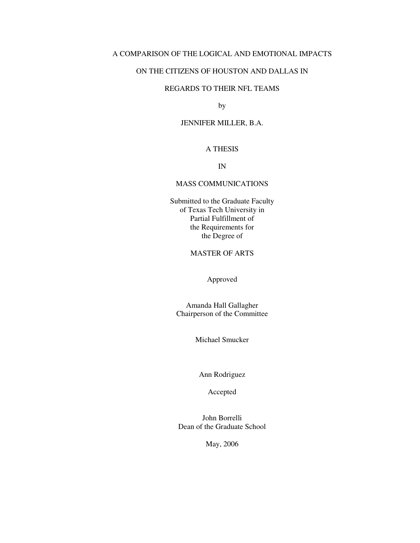# A COMPARISON OF THE LOGICAL AND EMOTIONAL IMPACTS

### ON THE CITIZENS OF HOUSTON AND DALLAS IN

# REGARDS TO THEIR NFL TEAMS

by

## JENNIFER MILLER, B.A.

## A THESIS

IN

#### MASS COMMUNICATIONS

Submitted to the Graduate Faculty of Texas Tech University in Partial Fulfillment of the Requirements for the Degree of

# MASTER OF ARTS

Approved

Amanda Hall Gallagher Chairperson of the Committee

Michael Smucker

Ann Rodriguez

Accepted

John Borrelli Dean of the Graduate School

May, 2006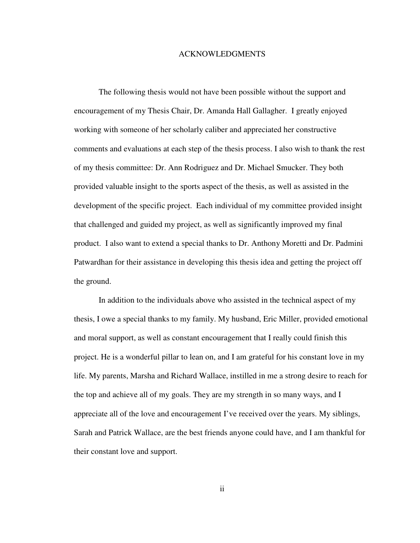#### ACKNOWLEDGMENTS

The following thesis would not have been possible without the support and encouragement of my Thesis Chair, Dr. Amanda Hall Gallagher. I greatly enjoyed working with someone of her scholarly caliber and appreciated her constructive comments and evaluations at each step of the thesis process. I also wish to thank the rest of my thesis committee: Dr. Ann Rodriguez and Dr. Michael Smucker. They both provided valuable insight to the sports aspect of the thesis, as well as assisted in the development of the specific project. Each individual of my committee provided insight that challenged and guided my project, as well as significantly improved my final product. I also want to extend a special thanks to Dr. Anthony Moretti and Dr. Padmini Patwardhan for their assistance in developing this thesis idea and getting the project off the ground.

In addition to the individuals above who assisted in the technical aspect of my thesis, I owe a special thanks to my family. My husband, Eric Miller, provided emotional and moral support, as well as constant encouragement that I really could finish this project. He is a wonderful pillar to lean on, and I am grateful for his constant love in my life. My parents, Marsha and Richard Wallace, instilled in me a strong desire to reach for the top and achieve all of my goals. They are my strength in so many ways, and I appreciate all of the love and encouragement I've received over the years. My siblings, Sarah and Patrick Wallace, are the best friends anyone could have, and I am thankful for their constant love and support.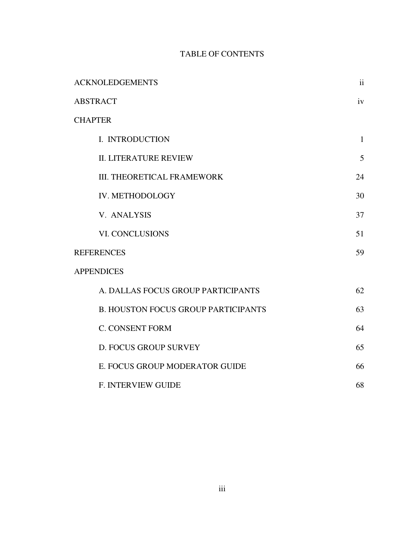# TABLE OF CONTENTS

| <b>ACKNOLEDGEMENTS</b>                     | ii           |
|--------------------------------------------|--------------|
| <b>ABSTRACT</b>                            | iv           |
| <b>CHAPTER</b>                             |              |
| I. INTRODUCTION                            | $\mathbf{1}$ |
| <b>II. LITERATURE REVIEW</b>               | 5            |
| <b>III. THEORETICAL FRAMEWORK</b>          | 24           |
| IV. METHODOLOGY                            | 30           |
| V. ANALYSIS                                | 37           |
| VI. CONCLUSIONS                            | 51           |
| <b>REFERENCES</b>                          | 59           |
| <b>APPENDICES</b>                          |              |
| A. DALLAS FOCUS GROUP PARTICIPANTS         | 62           |
| <b>B. HOUSTON FOCUS GROUP PARTICIPANTS</b> | 63           |
| <b>C. CONSENT FORM</b>                     | 64           |
| D. FOCUS GROUP SURVEY                      | 65           |
| E. FOCUS GROUP MODERATOR GUIDE             | 66           |
| <b>F. INTERVIEW GUIDE</b>                  | 68           |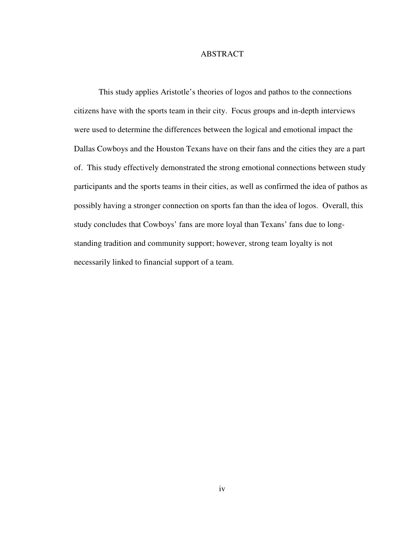## ABSTRACT

This study applies Aristotle's theories of logos and pathos to the connections citizens have with the sports team in their city. Focus groups and in-depth interviews were used to determine the differences between the logical and emotional impact the Dallas Cowboys and the Houston Texans have on their fans and the cities they are a part of. This study effectively demonstrated the strong emotional connections between study participants and the sports teams in their cities, as well as confirmed the idea of pathos as possibly having a stronger connection on sports fan than the idea of logos. Overall, this study concludes that Cowboys' fans are more loyal than Texans' fans due to longstanding tradition and community support; however, strong team loyalty is not necessarily linked to financial support of a team.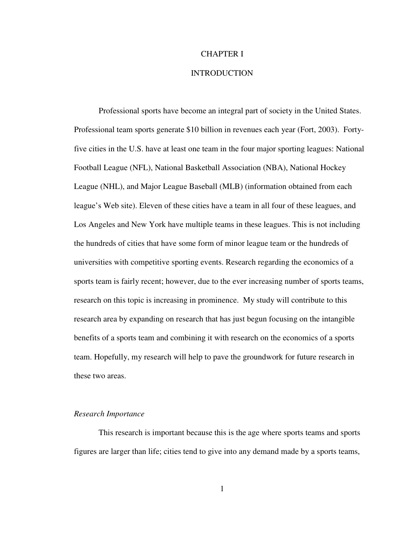## CHAPTER I

## INTRODUCTION

Professional sports have become an integral part of society in the United States. Professional team sports generate \$10 billion in revenues each year (Fort, 2003). Fortyfive cities in the U.S. have at least one team in the four major sporting leagues: National Football League (NFL), National Basketball Association (NBA), National Hockey League (NHL), and Major League Baseball (MLB) (information obtained from each league's Web site). Eleven of these cities have a team in all four of these leagues, and Los Angeles and New York have multiple teams in these leagues. This is not including the hundreds of cities that have some form of minor league team or the hundreds of universities with competitive sporting events. Research regarding the economics of a sports team is fairly recent; however, due to the ever increasing number of sports teams, research on this topic is increasing in prominence. My study will contribute to this research area by expanding on research that has just begun focusing on the intangible benefits of a sports team and combining it with research on the economics of a sports team. Hopefully, my research will help to pave the groundwork for future research in these two areas.

#### *Research Importance*

This research is important because this is the age where sports teams and sports figures are larger than life; cities tend to give into any demand made by a sports teams,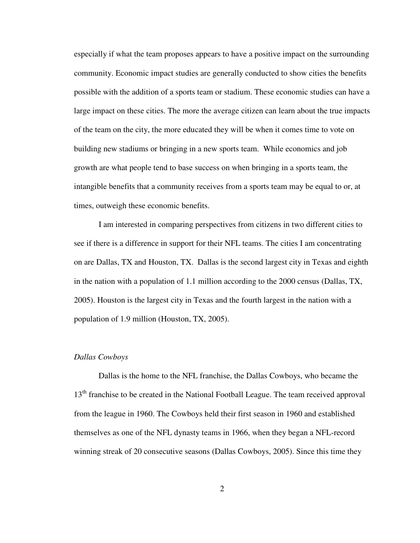especially if what the team proposes appears to have a positive impact on the surrounding community. Economic impact studies are generally conducted to show cities the benefits possible with the addition of a sports team or stadium. These economic studies can have a large impact on these cities. The more the average citizen can learn about the true impacts of the team on the city, the more educated they will be when it comes time to vote on building new stadiums or bringing in a new sports team. While economics and job growth are what people tend to base success on when bringing in a sports team, the intangible benefits that a community receives from a sports team may be equal to or, at times, outweigh these economic benefits.

I am interested in comparing perspectives from citizens in two different cities to see if there is a difference in support for their NFL teams. The cities I am concentrating on are Dallas, TX and Houston, TX. Dallas is the second largest city in Texas and eighth in the nation with a population of 1.1 million according to the 2000 census (Dallas, TX, 2005). Houston is the largest city in Texas and the fourth largest in the nation with a population of 1.9 million (Houston, TX, 2005).

#### *Dallas Cowboys*

Dallas is the home to the NFL franchise, the Dallas Cowboys, who became the 13<sup>th</sup> franchise to be created in the National Football League. The team received approval from the league in 1960. The Cowboys held their first season in 1960 and established themselves as one of the NFL dynasty teams in 1966, when they began a NFL-record winning streak of 20 consecutive seasons (Dallas Cowboys, 2005). Since this time they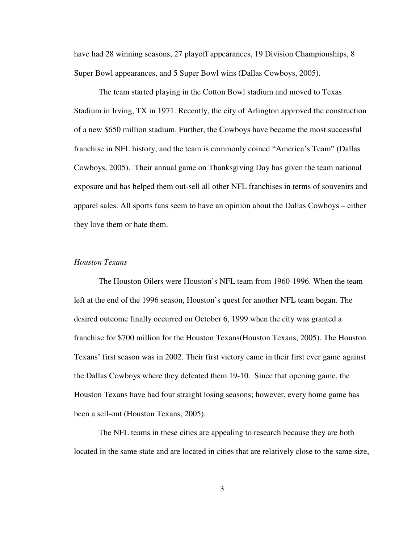have had 28 winning seasons, 27 playoff appearances, 19 Division Championships, 8 Super Bowl appearances, and 5 Super Bowl wins (Dallas Cowboys, 2005).

The team started playing in the Cotton Bowl stadium and moved to Texas Stadium in Irving, TX in 1971. Recently, the city of Arlington approved the construction of a new \$650 million stadium. Further, the Cowboys have become the most successful franchise in NFL history, and the team is commonly coined "America's Team" (Dallas Cowboys, 2005). Their annual game on Thanksgiving Day has given the team national exposure and has helped them out-sell all other NFL franchises in terms of souvenirs and apparel sales. All sports fans seem to have an opinion about the Dallas Cowboys – either they love them or hate them.

## *Houston Texans*

The Houston Oilers were Houston's NFL team from 1960-1996. When the team left at the end of the 1996 season, Houston's quest for another NFL team began. The desired outcome finally occurred on October 6, 1999 when the city was granted a franchise for \$700 million for the Houston Texans(Houston Texans, 2005). The Houston Texans' first season was in 2002. Their first victory came in their first ever game against the Dallas Cowboys where they defeated them 19-10. Since that opening game, the Houston Texans have had four straight losing seasons; however, every home game has been a sell-out (Houston Texans, 2005).

The NFL teams in these cities are appealing to research because they are both located in the same state and are located in cities that are relatively close to the same size,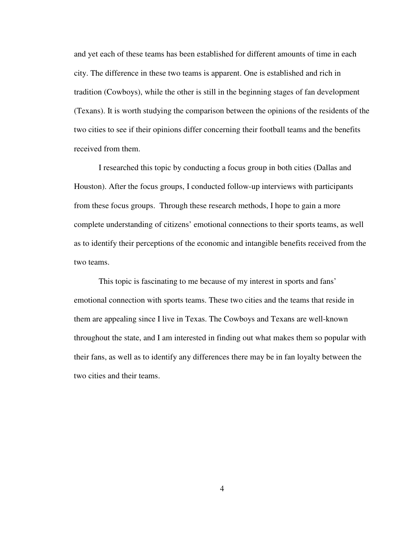and yet each of these teams has been established for different amounts of time in each city. The difference in these two teams is apparent. One is established and rich in tradition (Cowboys), while the other is still in the beginning stages of fan development (Texans). It is worth studying the comparison between the opinions of the residents of the two cities to see if their opinions differ concerning their football teams and the benefits received from them.

I researched this topic by conducting a focus group in both cities (Dallas and Houston). After the focus groups, I conducted follow-up interviews with participants from these focus groups. Through these research methods, I hope to gain a more complete understanding of citizens' emotional connections to their sports teams, as well as to identify their perceptions of the economic and intangible benefits received from the two teams.

This topic is fascinating to me because of my interest in sports and fans' emotional connection with sports teams. These two cities and the teams that reside in them are appealing since I live in Texas. The Cowboys and Texans are well-known throughout the state, and I am interested in finding out what makes them so popular with their fans, as well as to identify any differences there may be in fan loyalty between the two cities and their teams.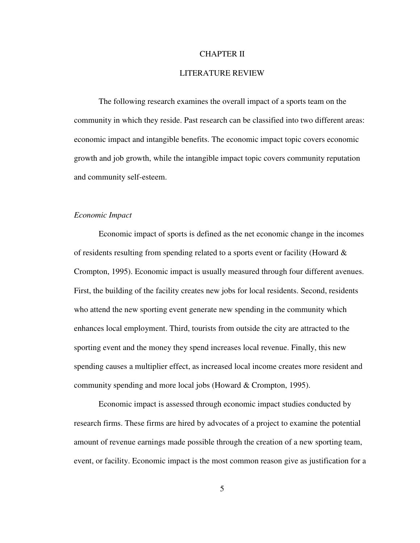## CHAPTER II

# LITERATURE REVIEW

The following research examines the overall impact of a sports team on the community in which they reside. Past research can be classified into two different areas: economic impact and intangible benefits. The economic impact topic covers economic growth and job growth, while the intangible impact topic covers community reputation and community self-esteem.

### *Economic Impact*

Economic impact of sports is defined as the net economic change in the incomes of residents resulting from spending related to a sports event or facility (Howard  $\&$ Crompton, 1995). Economic impact is usually measured through four different avenues. First, the building of the facility creates new jobs for local residents. Second, residents who attend the new sporting event generate new spending in the community which enhances local employment. Third, tourists from outside the city are attracted to the sporting event and the money they spend increases local revenue. Finally, this new spending causes a multiplier effect, as increased local income creates more resident and community spending and more local jobs (Howard & Crompton, 1995).

Economic impact is assessed through economic impact studies conducted by research firms. These firms are hired by advocates of a project to examine the potential amount of revenue earnings made possible through the creation of a new sporting team, event, or facility. Economic impact is the most common reason give as justification for a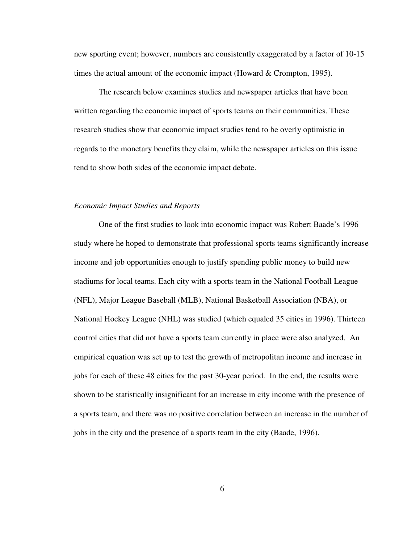new sporting event; however, numbers are consistently exaggerated by a factor of 10-15 times the actual amount of the economic impact (Howard & Crompton, 1995).

The research below examines studies and newspaper articles that have been written regarding the economic impact of sports teams on their communities. These research studies show that economic impact studies tend to be overly optimistic in regards to the monetary benefits they claim, while the newspaper articles on this issue tend to show both sides of the economic impact debate.

## *Economic Impact Studies and Reports*

One of the first studies to look into economic impact was Robert Baade's 1996 study where he hoped to demonstrate that professional sports teams significantly increase income and job opportunities enough to justify spending public money to build new stadiums for local teams. Each city with a sports team in the National Football League (NFL), Major League Baseball (MLB), National Basketball Association (NBA), or National Hockey League (NHL) was studied (which equaled 35 cities in 1996). Thirteen control cities that did not have a sports team currently in place were also analyzed. An empirical equation was set up to test the growth of metropolitan income and increase in jobs for each of these 48 cities for the past 30-year period. In the end, the results were shown to be statistically insignificant for an increase in city income with the presence of a sports team, and there was no positive correlation between an increase in the number of jobs in the city and the presence of a sports team in the city (Baade, 1996).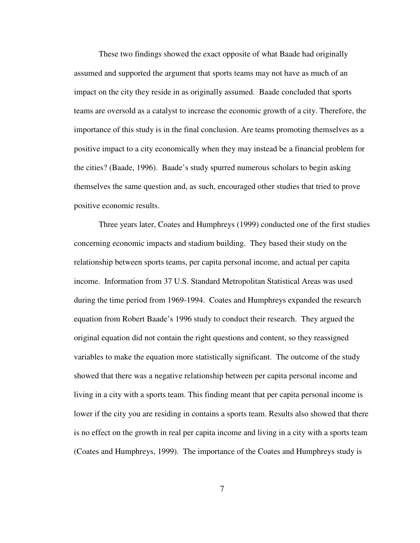These two findings showed the exact opposite of what Baade had originally assumed and supported the argument that sports teams may not have as much of an impact on the city they reside in as originally assumed. Baade concluded that sports teams are oversold as a catalyst to increase the economic growth of a city. Therefore, the importance of this study is in the final conclusion. Are teams promoting themselves as a positive impact to a city economically when they may instead be a financial problem for the cities? (Baade, 1996). Baade's study spurred numerous scholars to begin asking themselves the same question and, as such, encouraged other studies that tried to prove positive economic results.

Three years later, Coates and Humphreys (1999) conducted one of the first studies concerning economic impacts and stadium building. They based their study on the relationship between sports teams, per capita personal income, and actual per capita income. Information from 37 U.S. Standard Metropolitan Statistical Areas was used during the time period from 1969-1994. Coates and Humphreys expanded the research equation from Robert Baade's 1996 study to conduct their research. They argued the original equation did not contain the right questions and content, so they reassigned variables to make the equation more statistically significant. The outcome of the study showed that there was a negative relationship between per capita personal income and living in a city with a sports team. This finding meant that per capita personal income is lower if the city you are residing in contains a sports team. Results also showed that there is no effect on the growth in real per capita income and living in a city with a sports team (Coates and Humphreys, 1999). The importance of the Coates and Humphreys study is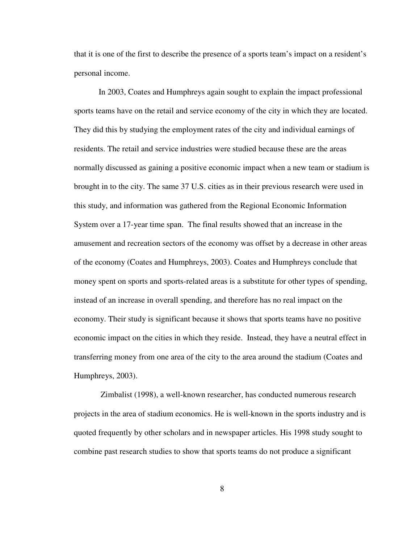that it is one of the first to describe the presence of a sports team's impact on a resident's personal income.

In 2003, Coates and Humphreys again sought to explain the impact professional sports teams have on the retail and service economy of the city in which they are located. They did this by studying the employment rates of the city and individual earnings of residents. The retail and service industries were studied because these are the areas normally discussed as gaining a positive economic impact when a new team or stadium is brought in to the city. The same 37 U.S. cities as in their previous research were used in this study, and information was gathered from the Regional Economic Information System over a 17-year time span. The final results showed that an increase in the amusement and recreation sectors of the economy was offset by a decrease in other areas of the economy (Coates and Humphreys, 2003). Coates and Humphreys conclude that money spent on sports and sports-related areas is a substitute for other types of spending, instead of an increase in overall spending, and therefore has no real impact on the economy. Their study is significant because it shows that sports teams have no positive economic impact on the cities in which they reside. Instead, they have a neutral effect in transferring money from one area of the city to the area around the stadium (Coates and Humphreys, 2003).

Zimbalist (1998), a well-known researcher, has conducted numerous research projects in the area of stadium economics. He is well-known in the sports industry and is quoted frequently by other scholars and in newspaper articles. His 1998 study sought to combine past research studies to show that sports teams do not produce a significant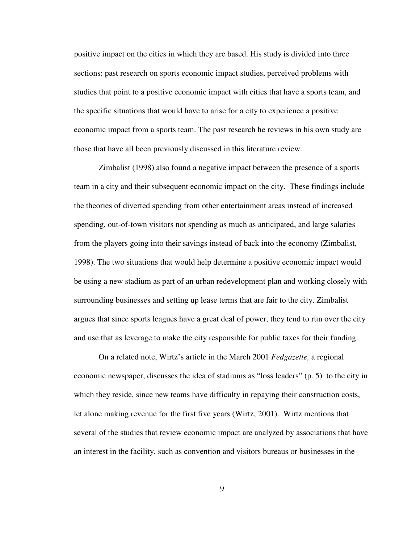positive impact on the cities in which they are based. His study is divided into three sections: past research on sports economic impact studies, perceived problems with studies that point to a positive economic impact with cities that have a sports team, and the specific situations that would have to arise for a city to experience a positive economic impact from a sports team. The past research he reviews in his own study are those that have all been previously discussed in this literature review.

Zimbalist (1998) also found a negative impact between the presence of a sports team in a city and their subsequent economic impact on the city. These findings include the theories of diverted spending from other entertainment areas instead of increased spending, out-of-town visitors not spending as much as anticipated, and large salaries from the players going into their savings instead of back into the economy (Zimbalist, 1998). The two situations that would help determine a positive economic impact would be using a new stadium as part of an urban redevelopment plan and working closely with surrounding businesses and setting up lease terms that are fair to the city. Zimbalist argues that since sports leagues have a great deal of power, they tend to run over the city and use that as leverage to make the city responsible for public taxes for their funding.

On a related note, Wirtz's article in the March 2001 *Fedgazette,* a regional economic newspaper, discusses the idea of stadiums as "loss leaders" (p. 5) to the city in which they reside, since new teams have difficulty in repaying their construction costs, let alone making revenue for the first five years (Wirtz, 2001). Wirtz mentions that several of the studies that review economic impact are analyzed by associations that have an interest in the facility, such as convention and visitors bureaus or businesses in the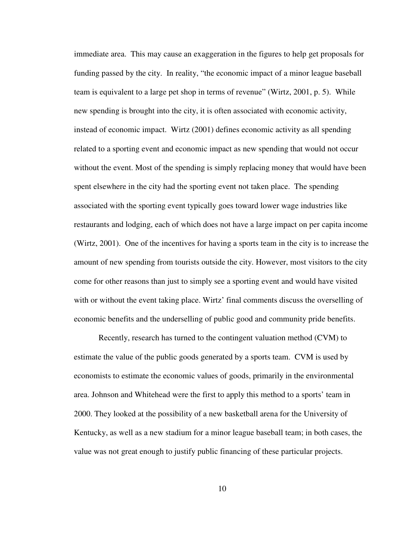immediate area. This may cause an exaggeration in the figures to help get proposals for funding passed by the city. In reality, "the economic impact of a minor league baseball team is equivalent to a large pet shop in terms of revenue" (Wirtz, 2001, p. 5). While new spending is brought into the city, it is often associated with economic activity, instead of economic impact. Wirtz (2001) defines economic activity as all spending related to a sporting event and economic impact as new spending that would not occur without the event. Most of the spending is simply replacing money that would have been spent elsewhere in the city had the sporting event not taken place. The spending associated with the sporting event typically goes toward lower wage industries like restaurants and lodging, each of which does not have a large impact on per capita income (Wirtz, 2001). One of the incentives for having a sports team in the city is to increase the amount of new spending from tourists outside the city. However, most visitors to the city come for other reasons than just to simply see a sporting event and would have visited with or without the event taking place. Wirtz' final comments discuss the overselling of economic benefits and the underselling of public good and community pride benefits.

Recently, research has turned to the contingent valuation method (CVM) to estimate the value of the public goods generated by a sports team. CVM is used by economists to estimate the economic values of goods, primarily in the environmental area. Johnson and Whitehead were the first to apply this method to a sports' team in 2000. They looked at the possibility of a new basketball arena for the University of Kentucky, as well as a new stadium for a minor league baseball team; in both cases, the value was not great enough to justify public financing of these particular projects.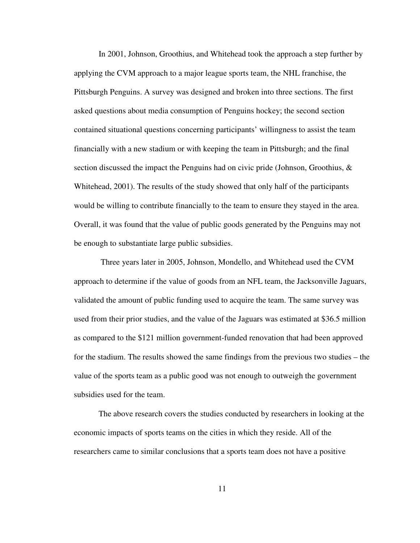In 2001, Johnson, Groothius, and Whitehead took the approach a step further by applying the CVM approach to a major league sports team, the NHL franchise, the Pittsburgh Penguins. A survey was designed and broken into three sections. The first asked questions about media consumption of Penguins hockey; the second section contained situational questions concerning participants' willingness to assist the team financially with a new stadium or with keeping the team in Pittsburgh; and the final section discussed the impact the Penguins had on civic pride (Johnson, Groothius, & Whitehead, 2001). The results of the study showed that only half of the participants would be willing to contribute financially to the team to ensure they stayed in the area. Overall, it was found that the value of public goods generated by the Penguins may not be enough to substantiate large public subsidies.

Three years later in 2005, Johnson, Mondello, and Whitehead used the CVM approach to determine if the value of goods from an NFL team, the Jacksonville Jaguars, validated the amount of public funding used to acquire the team. The same survey was used from their prior studies, and the value of the Jaguars was estimated at \$36.5 million as compared to the \$121 million government-funded renovation that had been approved for the stadium. The results showed the same findings from the previous two studies – the value of the sports team as a public good was not enough to outweigh the government subsidies used for the team.

The above research covers the studies conducted by researchers in looking at the economic impacts of sports teams on the cities in which they reside. All of the researchers came to similar conclusions that a sports team does not have a positive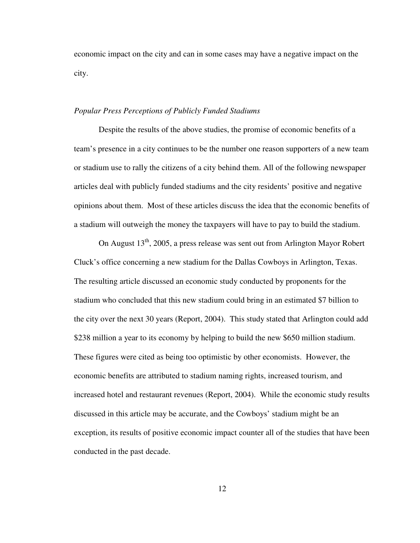economic impact on the city and can in some cases may have a negative impact on the city.

#### *Popular Press Perceptions of Publicly Funded Stadiums*

Despite the results of the above studies, the promise of economic benefits of a team's presence in a city continues to be the number one reason supporters of a new team or stadium use to rally the citizens of a city behind them. All of the following newspaper articles deal with publicly funded stadiums and the city residents' positive and negative opinions about them. Most of these articles discuss the idea that the economic benefits of a stadium will outweigh the money the taxpayers will have to pay to build the stadium.

On August  $13<sup>th</sup>$ , 2005, a press release was sent out from Arlington Mayor Robert Cluck's office concerning a new stadium for the Dallas Cowboys in Arlington, Texas. The resulting article discussed an economic study conducted by proponents for the stadium who concluded that this new stadium could bring in an estimated \$7 billion to the city over the next 30 years (Report, 2004). This study stated that Arlington could add \$238 million a year to its economy by helping to build the new \$650 million stadium. These figures were cited as being too optimistic by other economists. However, the economic benefits are attributed to stadium naming rights, increased tourism, and increased hotel and restaurant revenues (Report, 2004). While the economic study results discussed in this article may be accurate, and the Cowboys' stadium might be an exception, its results of positive economic impact counter all of the studies that have been conducted in the past decade.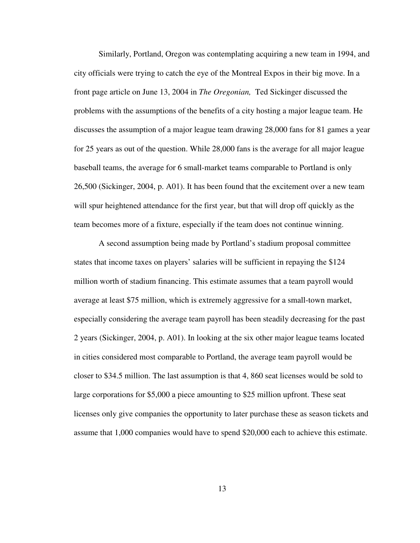Similarly, Portland, Oregon was contemplating acquiring a new team in 1994, and city officials were trying to catch the eye of the Montreal Expos in their big move. In a front page article on June 13, 2004 in *The Oregonian,* Ted Sickinger discussed the problems with the assumptions of the benefits of a city hosting a major league team. He discusses the assumption of a major league team drawing 28,000 fans for 81 games a year for 25 years as out of the question. While 28,000 fans is the average for all major league baseball teams, the average for 6 small-market teams comparable to Portland is only 26,500 (Sickinger, 2004, p. A01). It has been found that the excitement over a new team will spur heightened attendance for the first year, but that will drop off quickly as the team becomes more of a fixture, especially if the team does not continue winning.

A second assumption being made by Portland's stadium proposal committee states that income taxes on players' salaries will be sufficient in repaying the \$124 million worth of stadium financing. This estimate assumes that a team payroll would average at least \$75 million, which is extremely aggressive for a small-town market, especially considering the average team payroll has been steadily decreasing for the past 2 years (Sickinger, 2004, p. A01). In looking at the six other major league teams located in cities considered most comparable to Portland, the average team payroll would be closer to \$34.5 million. The last assumption is that 4, 860 seat licenses would be sold to large corporations for \$5,000 a piece amounting to \$25 million upfront. These seat licenses only give companies the opportunity to later purchase these as season tickets and assume that 1,000 companies would have to spend \$20,000 each to achieve this estimate.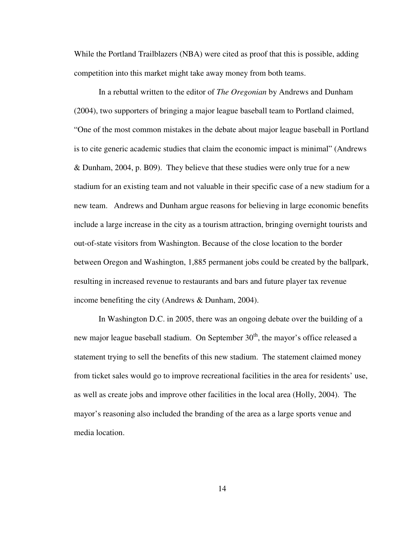While the Portland Trailblazers (NBA) were cited as proof that this is possible, adding competition into this market might take away money from both teams.

In a rebuttal written to the editor of *The Oregonian* by Andrews and Dunham (2004), two supporters of bringing a major league baseball team to Portland claimed, "One of the most common mistakes in the debate about major league baseball in Portland is to cite generic academic studies that claim the economic impact is minimal" (Andrews & Dunham, 2004, p. B09). They believe that these studies were only true for a new stadium for an existing team and not valuable in their specific case of a new stadium for a new team. Andrews and Dunham argue reasons for believing in large economic benefits include a large increase in the city as a tourism attraction, bringing overnight tourists and out-of-state visitors from Washington. Because of the close location to the border between Oregon and Washington, 1,885 permanent jobs could be created by the ballpark, resulting in increased revenue to restaurants and bars and future player tax revenue income benefiting the city (Andrews & Dunham, 2004).

In Washington D.C. in 2005, there was an ongoing debate over the building of a new major league baseball stadium. On September 30<sup>th</sup>, the mayor's office released a statement trying to sell the benefits of this new stadium. The statement claimed money from ticket sales would go to improve recreational facilities in the area for residents' use, as well as create jobs and improve other facilities in the local area (Holly, 2004). The mayor's reasoning also included the branding of the area as a large sports venue and media location.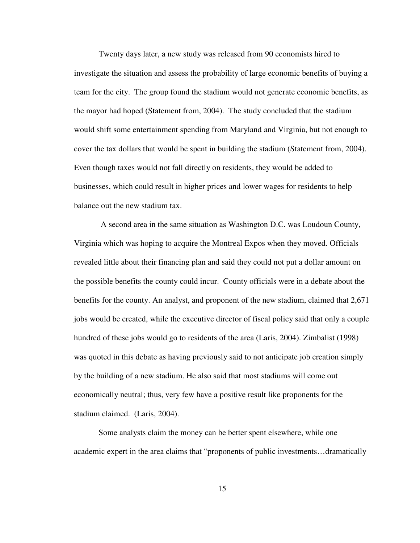Twenty days later, a new study was released from 90 economists hired to investigate the situation and assess the probability of large economic benefits of buying a team for the city. The group found the stadium would not generate economic benefits, as the mayor had hoped (Statement from, 2004). The study concluded that the stadium would shift some entertainment spending from Maryland and Virginia, but not enough to cover the tax dollars that would be spent in building the stadium (Statement from, 2004). Even though taxes would not fall directly on residents, they would be added to businesses, which could result in higher prices and lower wages for residents to help balance out the new stadium tax.

A second area in the same situation as Washington D.C. was Loudoun County, Virginia which was hoping to acquire the Montreal Expos when they moved. Officials revealed little about their financing plan and said they could not put a dollar amount on the possible benefits the county could incur. County officials were in a debate about the benefits for the county. An analyst, and proponent of the new stadium, claimed that 2,671 jobs would be created, while the executive director of fiscal policy said that only a couple hundred of these jobs would go to residents of the area (Laris, 2004). Zimbalist (1998) was quoted in this debate as having previously said to not anticipate job creation simply by the building of a new stadium. He also said that most stadiums will come out economically neutral; thus, very few have a positive result like proponents for the stadium claimed. (Laris, 2004).

Some analysts claim the money can be better spent elsewhere, while one academic expert in the area claims that "proponents of public investments…dramatically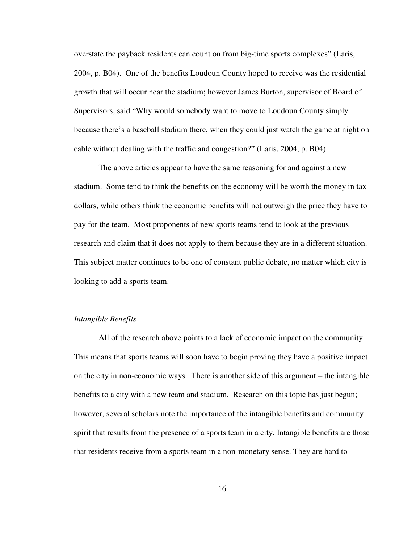overstate the payback residents can count on from big-time sports complexes" (Laris, 2004, p. B04). One of the benefits Loudoun County hoped to receive was the residential growth that will occur near the stadium; however James Burton, supervisor of Board of Supervisors, said "Why would somebody want to move to Loudoun County simply because there's a baseball stadium there, when they could just watch the game at night on cable without dealing with the traffic and congestion?" (Laris, 2004, p. B04).

The above articles appear to have the same reasoning for and against a new stadium. Some tend to think the benefits on the economy will be worth the money in tax dollars, while others think the economic benefits will not outweigh the price they have to pay for the team. Most proponents of new sports teams tend to look at the previous research and claim that it does not apply to them because they are in a different situation. This subject matter continues to be one of constant public debate, no matter which city is looking to add a sports team.

## *Intangible Benefits*

All of the research above points to a lack of economic impact on the community. This means that sports teams will soon have to begin proving they have a positive impact on the city in non-economic ways. There is another side of this argument – the intangible benefits to a city with a new team and stadium. Research on this topic has just begun; however, several scholars note the importance of the intangible benefits and community spirit that results from the presence of a sports team in a city. Intangible benefits are those that residents receive from a sports team in a non-monetary sense. They are hard to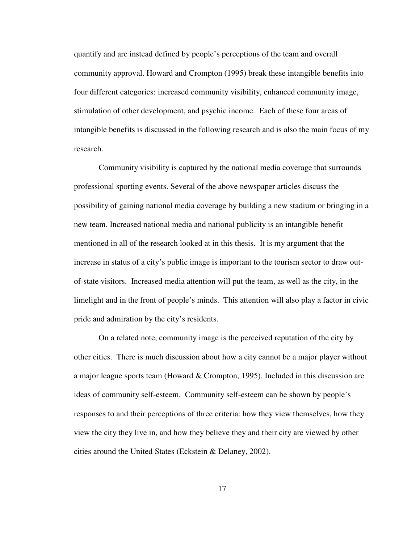quantify and are instead defined by people's perceptions of the team and overall community approval. Howard and Crompton (1995) break these intangible benefits into four different categories: increased community visibility, enhanced community image, stimulation of other development, and psychic income. Each of these four areas of intangible benefits is discussed in the following research and is also the main focus of my research.

Community visibility is captured by the national media coverage that surrounds professional sporting events. Several of the above newspaper articles discuss the possibility of gaining national media coverage by building a new stadium or bringing in a new team. Increased national media and national publicity is an intangible benefit mentioned in all of the research looked at in this thesis. It is my argument that the increase in status of a city's public image is important to the tourism sector to draw outof-state visitors. Increased media attention will put the team, as well as the city, in the limelight and in the front of people's minds. This attention will also play a factor in civic pride and admiration by the city's residents.

On a related note, community image is the perceived reputation of the city by other cities. There is much discussion about how a city cannot be a major player without a major league sports team (Howard & Crompton, 1995). Included in this discussion are ideas of community self-esteem. Community self-esteem can be shown by people's responses to and their perceptions of three criteria: how they view themselves, how they view the city they live in, and how they believe they and their city are viewed by other cities around the United States (Eckstein & Delaney, 2002).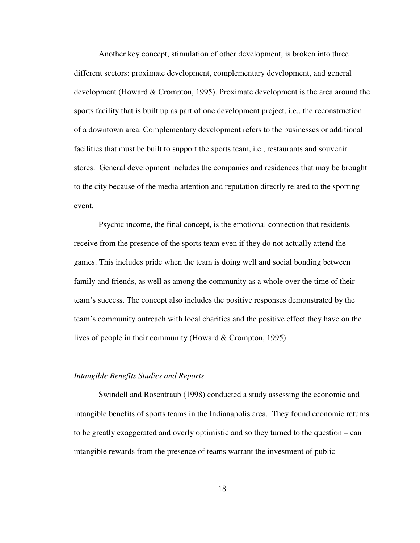Another key concept, stimulation of other development, is broken into three different sectors: proximate development, complementary development, and general development (Howard & Crompton, 1995). Proximate development is the area around the sports facility that is built up as part of one development project, i.e., the reconstruction of a downtown area. Complementary development refers to the businesses or additional facilities that must be built to support the sports team, i.e., restaurants and souvenir stores. General development includes the companies and residences that may be brought to the city because of the media attention and reputation directly related to the sporting event.

Psychic income, the final concept, is the emotional connection that residents receive from the presence of the sports team even if they do not actually attend the games. This includes pride when the team is doing well and social bonding between family and friends, as well as among the community as a whole over the time of their team's success. The concept also includes the positive responses demonstrated by the team's community outreach with local charities and the positive effect they have on the lives of people in their community (Howard & Crompton, 1995).

#### *Intangible Benefits Studies and Reports*

Swindell and Rosentraub (1998) conducted a study assessing the economic and intangible benefits of sports teams in the Indianapolis area. They found economic returns to be greatly exaggerated and overly optimistic and so they turned to the question – can intangible rewards from the presence of teams warrant the investment of public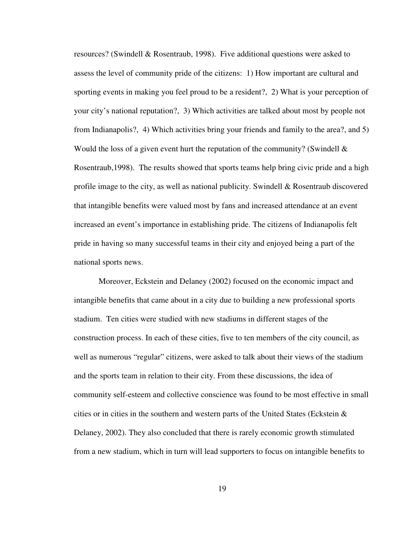resources? (Swindell & Rosentraub, 1998). Five additional questions were asked to assess the level of community pride of the citizens: 1) How important are cultural and sporting events in making you feel proud to be a resident?, 2) What is your perception of your city's national reputation?, 3) Which activities are talked about most by people not from Indianapolis?, 4) Which activities bring your friends and family to the area?, and 5) Would the loss of a given event hurt the reputation of the community? (Swindell  $\&$ Rosentraub,1998). The results showed that sports teams help bring civic pride and a high profile image to the city, as well as national publicity. Swindell & Rosentraub discovered that intangible benefits were valued most by fans and increased attendance at an event increased an event's importance in establishing pride. The citizens of Indianapolis felt pride in having so many successful teams in their city and enjoyed being a part of the national sports news.

Moreover, Eckstein and Delaney (2002) focused on the economic impact and intangible benefits that came about in a city due to building a new professional sports stadium. Ten cities were studied with new stadiums in different stages of the construction process. In each of these cities, five to ten members of the city council, as well as numerous "regular" citizens, were asked to talk about their views of the stadium and the sports team in relation to their city. From these discussions, the idea of community self-esteem and collective conscience was found to be most effective in small cities or in cities in the southern and western parts of the United States (Eckstein  $\&$ Delaney, 2002). They also concluded that there is rarely economic growth stimulated from a new stadium, which in turn will lead supporters to focus on intangible benefits to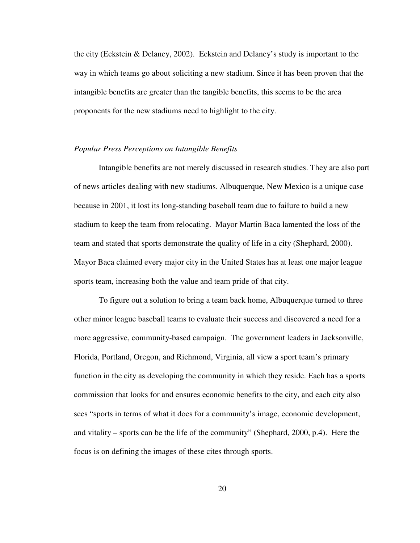the city (Eckstein & Delaney, 2002). Eckstein and Delaney's study is important to the way in which teams go about soliciting a new stadium. Since it has been proven that the intangible benefits are greater than the tangible benefits, this seems to be the area proponents for the new stadiums need to highlight to the city.

#### *Popular Press Perceptions on Intangible Benefits*

Intangible benefits are not merely discussed in research studies. They are also part of news articles dealing with new stadiums. Albuquerque, New Mexico is a unique case because in 2001, it lost its long-standing baseball team due to failure to build a new stadium to keep the team from relocating. Mayor Martin Baca lamented the loss of the team and stated that sports demonstrate the quality of life in a city (Shephard, 2000). Mayor Baca claimed every major city in the United States has at least one major league sports team, increasing both the value and team pride of that city.

To figure out a solution to bring a team back home, Albuquerque turned to three other minor league baseball teams to evaluate their success and discovered a need for a more aggressive, community-based campaign. The government leaders in Jacksonville, Florida, Portland, Oregon, and Richmond, Virginia, all view a sport team's primary function in the city as developing the community in which they reside. Each has a sports commission that looks for and ensures economic benefits to the city, and each city also sees "sports in terms of what it does for a community's image, economic development, and vitality – sports can be the life of the community" (Shephard, 2000, p.4). Here the focus is on defining the images of these cites through sports.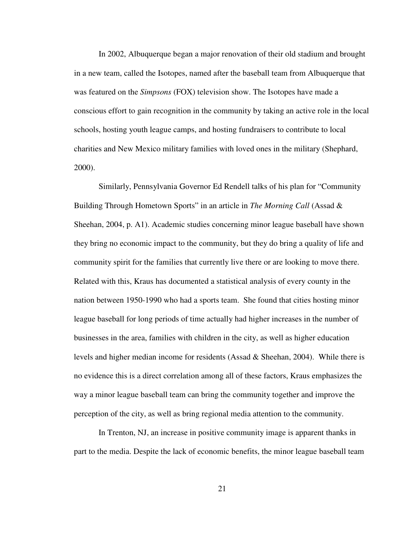In 2002, Albuquerque began a major renovation of their old stadium and brought in a new team, called the Isotopes, named after the baseball team from Albuquerque that was featured on the *Simpsons* (FOX) television show. The Isotopes have made a conscious effort to gain recognition in the community by taking an active role in the local schools, hosting youth league camps, and hosting fundraisers to contribute to local charities and New Mexico military families with loved ones in the military (Shephard, 2000).

Similarly, Pennsylvania Governor Ed Rendell talks of his plan for "Community Building Through Hometown Sports" in an article in *The Morning Call* (Assad & Sheehan, 2004, p. A1). Academic studies concerning minor league baseball have shown they bring no economic impact to the community, but they do bring a quality of life and community spirit for the families that currently live there or are looking to move there. Related with this, Kraus has documented a statistical analysis of every county in the nation between 1950-1990 who had a sports team. She found that cities hosting minor league baseball for long periods of time actually had higher increases in the number of businesses in the area, families with children in the city, as well as higher education levels and higher median income for residents (Assad & Sheehan, 2004). While there is no evidence this is a direct correlation among all of these factors, Kraus emphasizes the way a minor league baseball team can bring the community together and improve the perception of the city, as well as bring regional media attention to the community.

In Trenton, NJ, an increase in positive community image is apparent thanks in part to the media. Despite the lack of economic benefits, the minor league baseball team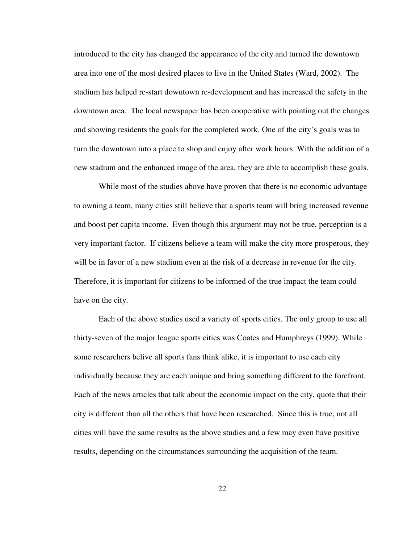introduced to the city has changed the appearance of the city and turned the downtown area into one of the most desired places to live in the United States (Ward, 2002). The stadium has helped re-start downtown re-development and has increased the safety in the downtown area. The local newspaper has been cooperative with pointing out the changes and showing residents the goals for the completed work. One of the city's goals was to turn the downtown into a place to shop and enjoy after work hours. With the addition of a new stadium and the enhanced image of the area, they are able to accomplish these goals.

While most of the studies above have proven that there is no economic advantage to owning a team, many cities still believe that a sports team will bring increased revenue and boost per capita income. Even though this argument may not be true, perception is a very important factor. If citizens believe a team will make the city more prosperous, they will be in favor of a new stadium even at the risk of a decrease in revenue for the city. Therefore, it is important for citizens to be informed of the true impact the team could have on the city.

Each of the above studies used a variety of sports cities. The only group to use all thirty-seven of the major league sports cities was Coates and Humphreys (1999). While some researchers belive all sports fans think alike, it is important to use each city individually because they are each unique and bring something different to the forefront. Each of the news articles that talk about the economic impact on the city, quote that their city is different than all the others that have been researched. Since this is true, not all cities will have the same results as the above studies and a few may even have positive results, depending on the circumstances surrounding the acquisition of the team.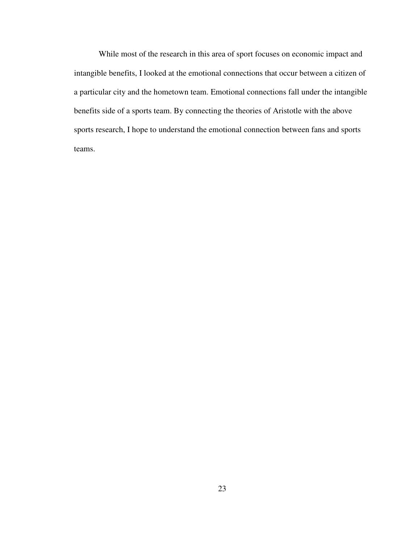While most of the research in this area of sport focuses on economic impact and intangible benefits, I looked at the emotional connections that occur between a citizen of a particular city and the hometown team. Emotional connections fall under the intangible benefits side of a sports team. By connecting the theories of Aristotle with the above sports research, I hope to understand the emotional connection between fans and sports teams.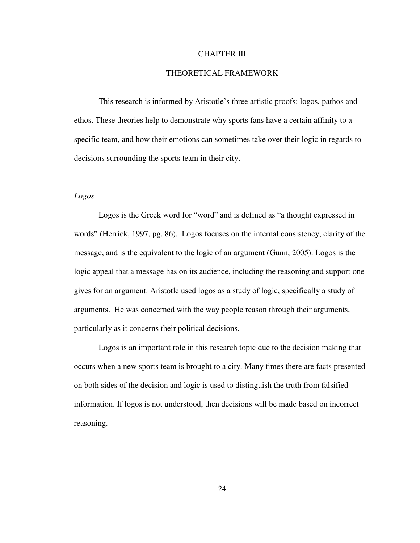## CHAPTER III

# THEORETICAL FRAMEWORK

This research is informed by Aristotle's three artistic proofs: logos, pathos and ethos. These theories help to demonstrate why sports fans have a certain affinity to a specific team, and how their emotions can sometimes take over their logic in regards to decisions surrounding the sports team in their city.

## *Logos*

Logos is the Greek word for "word" and is defined as "a thought expressed in words" (Herrick, 1997, pg. 86). Logos focuses on the internal consistency, clarity of the message, and is the equivalent to the logic of an argument (Gunn, 2005). Logos is the logic appeal that a message has on its audience, including the reasoning and support one gives for an argument. Aristotle used logos as a study of logic, specifically a study of arguments. He was concerned with the way people reason through their arguments, particularly as it concerns their political decisions.

Logos is an important role in this research topic due to the decision making that occurs when a new sports team is brought to a city. Many times there are facts presented on both sides of the decision and logic is used to distinguish the truth from falsified information. If logos is not understood, then decisions will be made based on incorrect reasoning.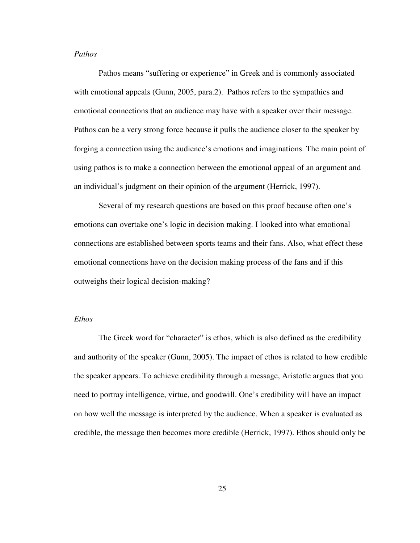# *Pathos*

Pathos means "suffering or experience" in Greek and is commonly associated with emotional appeals (Gunn, 2005, para.2). Pathos refers to the sympathies and emotional connections that an audience may have with a speaker over their message. Pathos can be a very strong force because it pulls the audience closer to the speaker by forging a connection using the audience's emotions and imaginations. The main point of using pathos is to make a connection between the emotional appeal of an argument and an individual's judgment on their opinion of the argument (Herrick, 1997).

Several of my research questions are based on this proof because often one's emotions can overtake one's logic in decision making. I looked into what emotional connections are established between sports teams and their fans. Also, what effect these emotional connections have on the decision making process of the fans and if this outweighs their logical decision-making?

#### *Ethos*

The Greek word for "character" is ethos, which is also defined as the credibility and authority of the speaker (Gunn, 2005). The impact of ethos is related to how credible the speaker appears. To achieve credibility through a message, Aristotle argues that you need to portray intelligence, virtue, and goodwill. One's credibility will have an impact on how well the message is interpreted by the audience. When a speaker is evaluated as credible, the message then becomes more credible (Herrick, 1997). Ethos should only be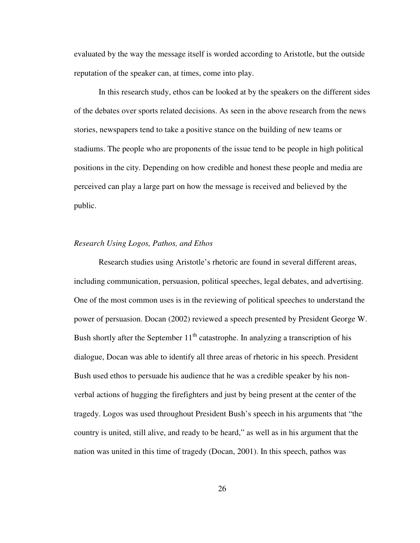evaluated by the way the message itself is worded according to Aristotle, but the outside reputation of the speaker can, at times, come into play.

In this research study, ethos can be looked at by the speakers on the different sides of the debates over sports related decisions. As seen in the above research from the news stories, newspapers tend to take a positive stance on the building of new teams or stadiums. The people who are proponents of the issue tend to be people in high political positions in the city. Depending on how credible and honest these people and media are perceived can play a large part on how the message is received and believed by the public.

#### *Research Using Logos, Pathos, and Ethos*

Research studies using Aristotle's rhetoric are found in several different areas, including communication, persuasion, political speeches, legal debates, and advertising. One of the most common uses is in the reviewing of political speeches to understand the power of persuasion. Docan (2002) reviewed a speech presented by President George W. Bush shortly after the September  $11<sup>th</sup>$  catastrophe. In analyzing a transcription of his dialogue, Docan was able to identify all three areas of rhetoric in his speech. President Bush used ethos to persuade his audience that he was a credible speaker by his nonverbal actions of hugging the firefighters and just by being present at the center of the tragedy. Logos was used throughout President Bush's speech in his arguments that "the country is united, still alive, and ready to be heard," as well as in his argument that the nation was united in this time of tragedy (Docan, 2001). In this speech, pathos was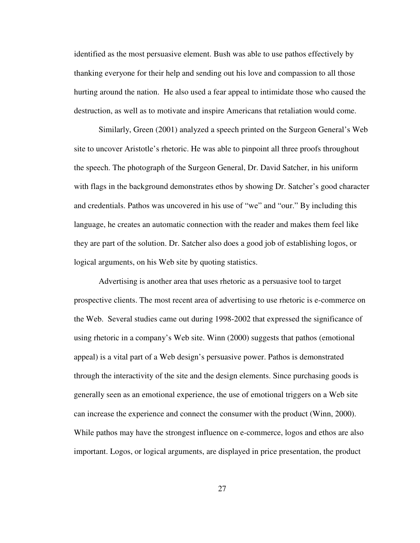identified as the most persuasive element. Bush was able to use pathos effectively by thanking everyone for their help and sending out his love and compassion to all those hurting around the nation. He also used a fear appeal to intimidate those who caused the destruction, as well as to motivate and inspire Americans that retaliation would come.

Similarly, Green (2001) analyzed a speech printed on the Surgeon General's Web site to uncover Aristotle's rhetoric. He was able to pinpoint all three proofs throughout the speech. The photograph of the Surgeon General, Dr. David Satcher, in his uniform with flags in the background demonstrates ethos by showing Dr. Satcher's good character and credentials. Pathos was uncovered in his use of "we" and "our." By including this language, he creates an automatic connection with the reader and makes them feel like they are part of the solution. Dr. Satcher also does a good job of establishing logos, or logical arguments, on his Web site by quoting statistics.

Advertising is another area that uses rhetoric as a persuasive tool to target prospective clients. The most recent area of advertising to use rhetoric is e-commerce on the Web. Several studies came out during 1998-2002 that expressed the significance of using rhetoric in a company's Web site. Winn (2000) suggests that pathos (emotional appeal) is a vital part of a Web design's persuasive power. Pathos is demonstrated through the interactivity of the site and the design elements. Since purchasing goods is generally seen as an emotional experience, the use of emotional triggers on a Web site can increase the experience and connect the consumer with the product (Winn, 2000). While pathos may have the strongest influence on e-commerce, logos and ethos are also important. Logos, or logical arguments, are displayed in price presentation, the product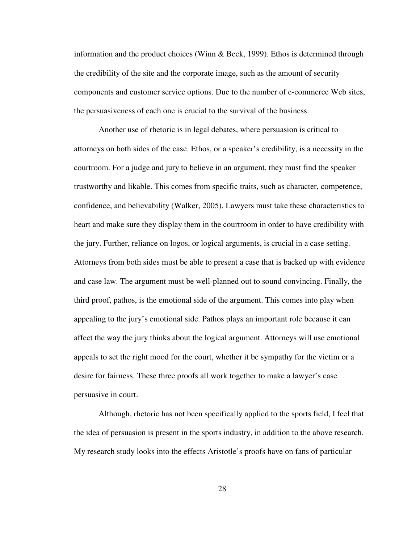information and the product choices (Winn & Beck, 1999). Ethos is determined through the credibility of the site and the corporate image, such as the amount of security components and customer service options. Due to the number of e-commerce Web sites, the persuasiveness of each one is crucial to the survival of the business.

Another use of rhetoric is in legal debates, where persuasion is critical to attorneys on both sides of the case. Ethos, or a speaker's credibility, is a necessity in the courtroom. For a judge and jury to believe in an argument, they must find the speaker trustworthy and likable. This comes from specific traits, such as character, competence, confidence, and believability (Walker, 2005). Lawyers must take these characteristics to heart and make sure they display them in the courtroom in order to have credibility with the jury. Further, reliance on logos, or logical arguments, is crucial in a case setting. Attorneys from both sides must be able to present a case that is backed up with evidence and case law. The argument must be well-planned out to sound convincing. Finally, the third proof, pathos, is the emotional side of the argument. This comes into play when appealing to the jury's emotional side. Pathos plays an important role because it can affect the way the jury thinks about the logical argument. Attorneys will use emotional appeals to set the right mood for the court, whether it be sympathy for the victim or a desire for fairness. These three proofs all work together to make a lawyer's case persuasive in court.

Although, rhetoric has not been specifically applied to the sports field, I feel that the idea of persuasion is present in the sports industry, in addition to the above research. My research study looks into the effects Aristotle's proofs have on fans of particular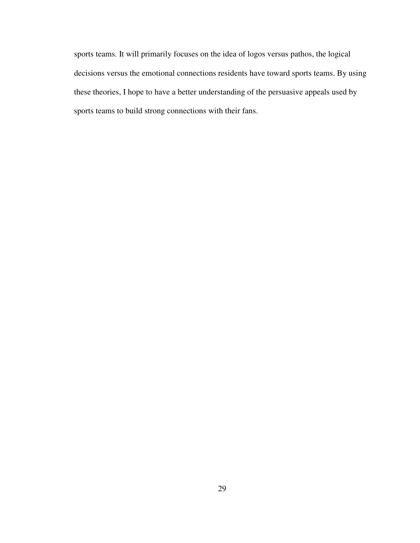sports teams. It will primarily focuses on the idea of logos versus pathos, the logical decisions versus the emotional connections residents have toward sports teams. By using these theories, I hope to have a better understanding of the persuasive appeals used by sports teams to build strong connections with their fans.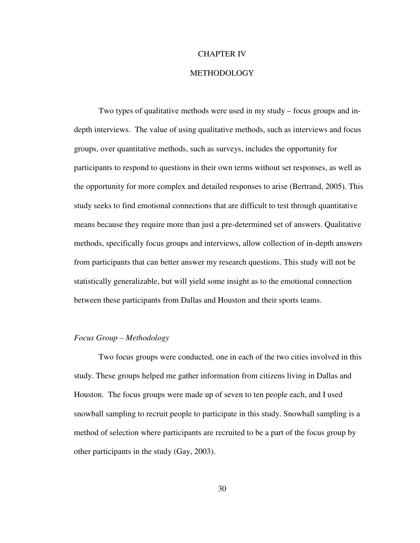#### CHAPTER IV

# METHODOLOGY

Two types of qualitative methods were used in my study – focus groups and indepth interviews. The value of using qualitative methods, such as interviews and focus groups, over quantitative methods, such as surveys, includes the opportunity for participants to respond to questions in their own terms without set responses, as well as the opportunity for more complex and detailed responses to arise (Bertrand, 2005). This study seeks to find emotional connections that are difficult to test through quantitative means because they require more than just a pre-determined set of answers. Qualitative methods, specifically focus groups and interviews, allow collection of in-depth answers from participants that can better answer my research questions. This study will not be statistically generalizable, but will yield some insight as to the emotional connection between these participants from Dallas and Houston and their sports teams.

### *Focus Group – Methodology*

Two focus groups were conducted, one in each of the two cities involved in this study. These groups helped me gather information from citizens living in Dallas and Houston. The focus groups were made up of seven to ten people each, and I used snowball sampling to recruit people to participate in this study. Snowball sampling is a method of selection where participants are recruited to be a part of the focus group by other participants in the study (Gay, 2003).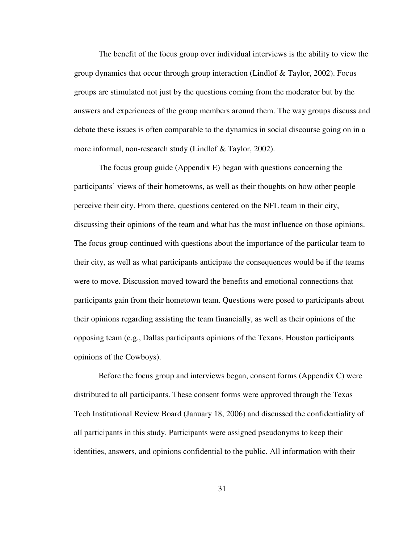The benefit of the focus group over individual interviews is the ability to view the group dynamics that occur through group interaction (Lindlof & Taylor, 2002). Focus groups are stimulated not just by the questions coming from the moderator but by the answers and experiences of the group members around them. The way groups discuss and debate these issues is often comparable to the dynamics in social discourse going on in a more informal, non-research study (Lindlof & Taylor, 2002).

The focus group guide (Appendix E) began with questions concerning the participants' views of their hometowns, as well as their thoughts on how other people perceive their city. From there, questions centered on the NFL team in their city, discussing their opinions of the team and what has the most influence on those opinions. The focus group continued with questions about the importance of the particular team to their city, as well as what participants anticipate the consequences would be if the teams were to move. Discussion moved toward the benefits and emotional connections that participants gain from their hometown team. Questions were posed to participants about their opinions regarding assisting the team financially, as well as their opinions of the opposing team (e.g., Dallas participants opinions of the Texans, Houston participants opinions of the Cowboys).

Before the focus group and interviews began, consent forms (Appendix C) were distributed to all participants. These consent forms were approved through the Texas Tech Institutional Review Board (January 18, 2006) and discussed the confidentiality of all participants in this study. Participants were assigned pseudonyms to keep their identities, answers, and opinions confidential to the public. All information with their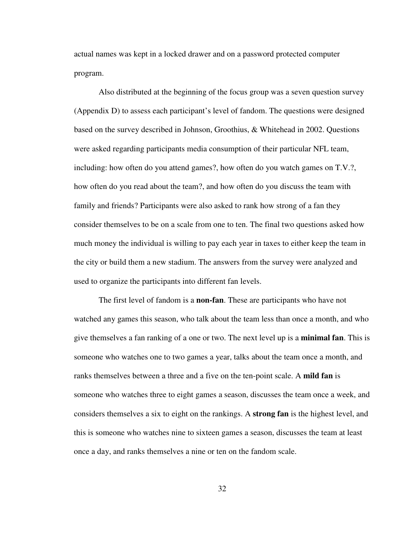actual names was kept in a locked drawer and on a password protected computer program.

Also distributed at the beginning of the focus group was a seven question survey (Appendix D) to assess each participant's level of fandom. The questions were designed based on the survey described in Johnson, Groothius, & Whitehead in 2002. Questions were asked regarding participants media consumption of their particular NFL team, including: how often do you attend games?, how often do you watch games on T.V.?, how often do you read about the team?, and how often do you discuss the team with family and friends? Participants were also asked to rank how strong of a fan they consider themselves to be on a scale from one to ten. The final two questions asked how much money the individual is willing to pay each year in taxes to either keep the team in the city or build them a new stadium. The answers from the survey were analyzed and used to organize the participants into different fan levels.

The first level of fandom is a **non-fan**. These are participants who have not watched any games this season, who talk about the team less than once a month, and who give themselves a fan ranking of a one or two. The next level up is a **minimal fan**. This is someone who watches one to two games a year, talks about the team once a month, and ranks themselves between a three and a five on the ten-point scale. A **mild fan** is someone who watches three to eight games a season, discusses the team once a week, and considers themselves a six to eight on the rankings. A **strong fan** is the highest level, and this is someone who watches nine to sixteen games a season, discusses the team at least once a day, and ranks themselves a nine or ten on the fandom scale.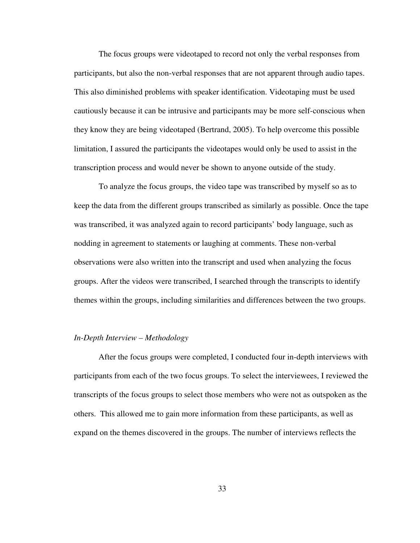The focus groups were videotaped to record not only the verbal responses from participants, but also the non-verbal responses that are not apparent through audio tapes. This also diminished problems with speaker identification. Videotaping must be used cautiously because it can be intrusive and participants may be more self-conscious when they know they are being videotaped (Bertrand, 2005). To help overcome this possible limitation, I assured the participants the videotapes would only be used to assist in the transcription process and would never be shown to anyone outside of the study.

To analyze the focus groups, the video tape was transcribed by myself so as to keep the data from the different groups transcribed as similarly as possible. Once the tape was transcribed, it was analyzed again to record participants' body language, such as nodding in agreement to statements or laughing at comments. These non-verbal observations were also written into the transcript and used when analyzing the focus groups. After the videos were transcribed, I searched through the transcripts to identify themes within the groups, including similarities and differences between the two groups.

#### *In-Depth Interview – Methodology*

After the focus groups were completed, I conducted four in-depth interviews with participants from each of the two focus groups. To select the interviewees, I reviewed the transcripts of the focus groups to select those members who were not as outspoken as the others. This allowed me to gain more information from these participants, as well as expand on the themes discovered in the groups. The number of interviews reflects the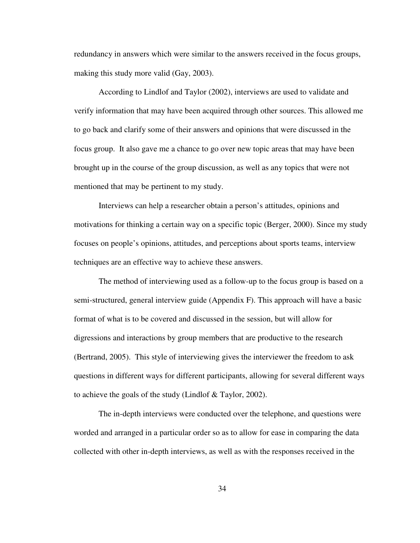redundancy in answers which were similar to the answers received in the focus groups, making this study more valid (Gay, 2003).

According to Lindlof and Taylor (2002), interviews are used to validate and verify information that may have been acquired through other sources. This allowed me to go back and clarify some of their answers and opinions that were discussed in the focus group. It also gave me a chance to go over new topic areas that may have been brought up in the course of the group discussion, as well as any topics that were not mentioned that may be pertinent to my study.

Interviews can help a researcher obtain a person's attitudes, opinions and motivations for thinking a certain way on a specific topic (Berger, 2000). Since my study focuses on people's opinions, attitudes, and perceptions about sports teams, interview techniques are an effective way to achieve these answers.

The method of interviewing used as a follow-up to the focus group is based on a semi-structured, general interview guide (Appendix F). This approach will have a basic format of what is to be covered and discussed in the session, but will allow for digressions and interactions by group members that are productive to the research (Bertrand, 2005). This style of interviewing gives the interviewer the freedom to ask questions in different ways for different participants, allowing for several different ways to achieve the goals of the study (Lindlof & Taylor, 2002).

The in-depth interviews were conducted over the telephone, and questions were worded and arranged in a particular order so as to allow for ease in comparing the data collected with other in-depth interviews, as well as with the responses received in the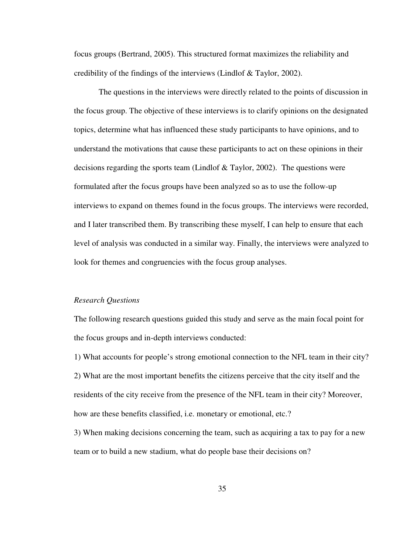focus groups (Bertrand, 2005). This structured format maximizes the reliability and credibility of the findings of the interviews (Lindlof & Taylor, 2002).

The questions in the interviews were directly related to the points of discussion in the focus group. The objective of these interviews is to clarify opinions on the designated topics, determine what has influenced these study participants to have opinions, and to understand the motivations that cause these participants to act on these opinions in their decisions regarding the sports team (Lindlof  $\&$  Taylor, 2002). The questions were formulated after the focus groups have been analyzed so as to use the follow-up interviews to expand on themes found in the focus groups. The interviews were recorded, and I later transcribed them. By transcribing these myself, I can help to ensure that each level of analysis was conducted in a similar way. Finally, the interviews were analyzed to look for themes and congruencies with the focus group analyses.

#### *Research Questions*

The following research questions guided this study and serve as the main focal point for the focus groups and in-depth interviews conducted:

1) What accounts for people's strong emotional connection to the NFL team in their city? 2) What are the most important benefits the citizens perceive that the city itself and the residents of the city receive from the presence of the NFL team in their city? Moreover, how are these benefits classified, i.e. monetary or emotional, etc.?

3) When making decisions concerning the team, such as acquiring a tax to pay for a new team or to build a new stadium, what do people base their decisions on?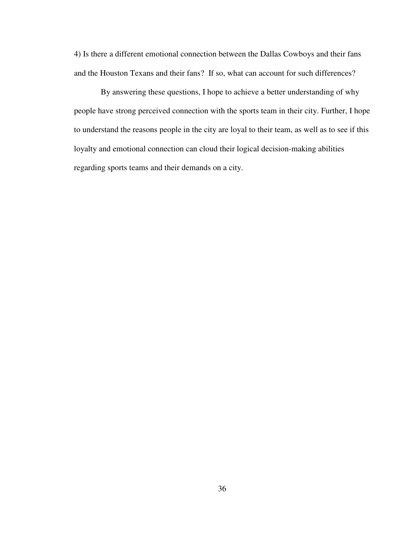4) Is there a different emotional connection between the Dallas Cowboys and their fans and the Houston Texans and their fans? If so, what can account for such differences?

By answering these questions, I hope to achieve a better understanding of why people have strong perceived connection with the sports team in their city. Further, I hope to understand the reasons people in the city are loyal to their team, as well as to see if this loyalty and emotional connection can cloud their logical decision-making abilities regarding sports teams and their demands on a city.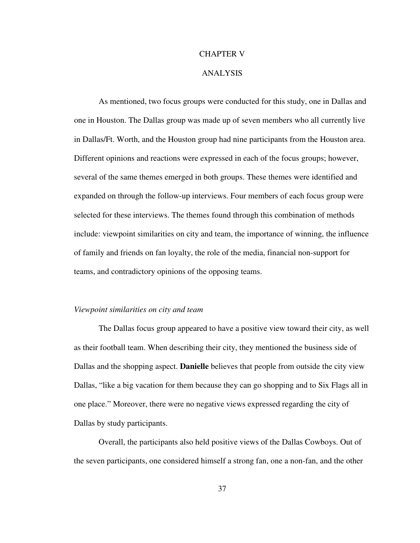## CHAPTER V

## ANALYSIS

As mentioned, two focus groups were conducted for this study, one in Dallas and one in Houston. The Dallas group was made up of seven members who all currently live in Dallas/Ft. Worth, and the Houston group had nine participants from the Houston area. Different opinions and reactions were expressed in each of the focus groups; however, several of the same themes emerged in both groups. These themes were identified and expanded on through the follow-up interviews. Four members of each focus group were selected for these interviews. The themes found through this combination of methods include: viewpoint similarities on city and team, the importance of winning, the influence of family and friends on fan loyalty, the role of the media, financial non-support for teams, and contradictory opinions of the opposing teams.

## *Viewpoint similarities on city and team*

The Dallas focus group appeared to have a positive view toward their city, as well as their football team. When describing their city, they mentioned the business side of Dallas and the shopping aspect. **Danielle** believes that people from outside the city view Dallas, "like a big vacation for them because they can go shopping and to Six Flags all in one place." Moreover, there were no negative views expressed regarding the city of Dallas by study participants.

Overall, the participants also held positive views of the Dallas Cowboys. Out of the seven participants, one considered himself a strong fan, one a non-fan, and the other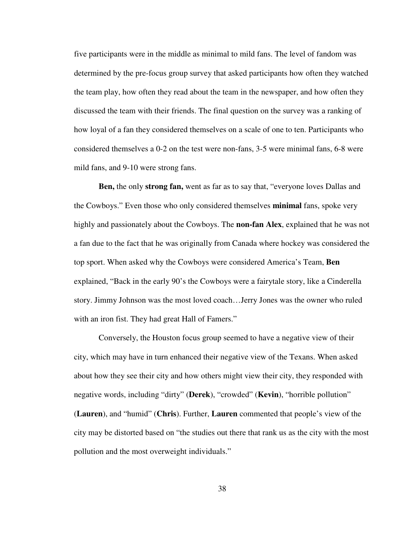five participants were in the middle as minimal to mild fans. The level of fandom was determined by the pre-focus group survey that asked participants how often they watched the team play, how often they read about the team in the newspaper, and how often they discussed the team with their friends. The final question on the survey was a ranking of how loyal of a fan they considered themselves on a scale of one to ten. Participants who considered themselves a 0-2 on the test were non-fans, 3-5 were minimal fans, 6-8 were mild fans, and 9-10 were strong fans.

**Ben,** the only **strong fan,** went as far as to say that, "everyone loves Dallas and the Cowboys." Even those who only considered themselves **minimal** fans, spoke very highly and passionately about the Cowboys. The **non-fan Alex**, explained that he was not a fan due to the fact that he was originally from Canada where hockey was considered the top sport. When asked why the Cowboys were considered America's Team, **Ben** explained, "Back in the early 90's the Cowboys were a fairytale story, like a Cinderella story. Jimmy Johnson was the most loved coach…Jerry Jones was the owner who ruled with an iron fist. They had great Hall of Famers."

Conversely, the Houston focus group seemed to have a negative view of their city, which may have in turn enhanced their negative view of the Texans. When asked about how they see their city and how others might view their city, they responded with negative words, including "dirty" (**Derek**), "crowded" (**Kevin**), "horrible pollution" (**Lauren**), and "humid" (**Chris**). Further, **Lauren** commented that people's view of the city may be distorted based on "the studies out there that rank us as the city with the most pollution and the most overweight individuals."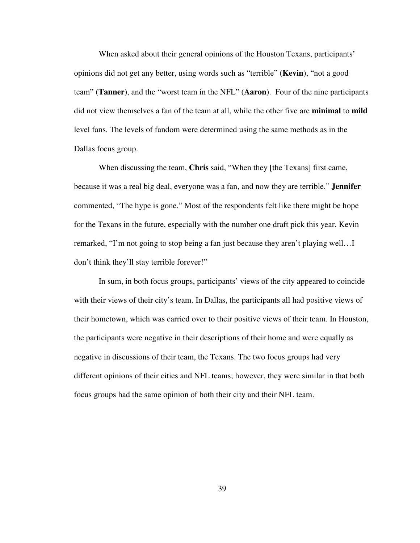When asked about their general opinions of the Houston Texans, participants' opinions did not get any better, using words such as "terrible" (**Kevin**), "not a good team" (**Tanner**), and the "worst team in the NFL" (**Aaron**). Four of the nine participants did not view themselves a fan of the team at all, while the other five are **minimal** to **mild** level fans. The levels of fandom were determined using the same methods as in the Dallas focus group.

When discussing the team, **Chris** said, "When they [the Texans] first came, because it was a real big deal, everyone was a fan, and now they are terrible." **Jennifer** commented, "The hype is gone." Most of the respondents felt like there might be hope for the Texans in the future, especially with the number one draft pick this year. Kevin remarked, "I'm not going to stop being a fan just because they aren't playing well…I don't think they'll stay terrible forever!"

In sum, in both focus groups, participants' views of the city appeared to coincide with their views of their city's team. In Dallas, the participants all had positive views of their hometown, which was carried over to their positive views of their team. In Houston, the participants were negative in their descriptions of their home and were equally as negative in discussions of their team, the Texans. The two focus groups had very different opinions of their cities and NFL teams; however, they were similar in that both focus groups had the same opinion of both their city and their NFL team.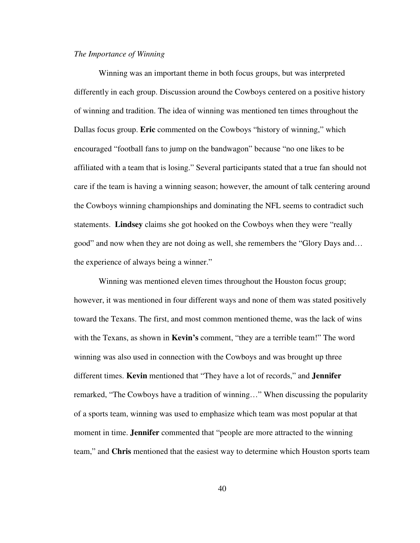#### *The Importance of Winning*

Winning was an important theme in both focus groups, but was interpreted differently in each group. Discussion around the Cowboys centered on a positive history of winning and tradition. The idea of winning was mentioned ten times throughout the Dallas focus group. **Eric** commented on the Cowboys "history of winning," which encouraged "football fans to jump on the bandwagon" because "no one likes to be affiliated with a team that is losing." Several participants stated that a true fan should not care if the team is having a winning season; however, the amount of talk centering around the Cowboys winning championships and dominating the NFL seems to contradict such statements. **Lindsey** claims she got hooked on the Cowboys when they were "really good" and now when they are not doing as well, she remembers the "Glory Days and… the experience of always being a winner."

Winning was mentioned eleven times throughout the Houston focus group; however, it was mentioned in four different ways and none of them was stated positively toward the Texans. The first, and most common mentioned theme, was the lack of wins with the Texans, as shown in **Kevin's** comment, "they are a terrible team!" The word winning was also used in connection with the Cowboys and was brought up three different times. **Kevin** mentioned that "They have a lot of records," and **Jennifer** remarked, "The Cowboys have a tradition of winning…" When discussing the popularity of a sports team, winning was used to emphasize which team was most popular at that moment in time. **Jennifer** commented that "people are more attracted to the winning team," and **Chris** mentioned that the easiest way to determine which Houston sports team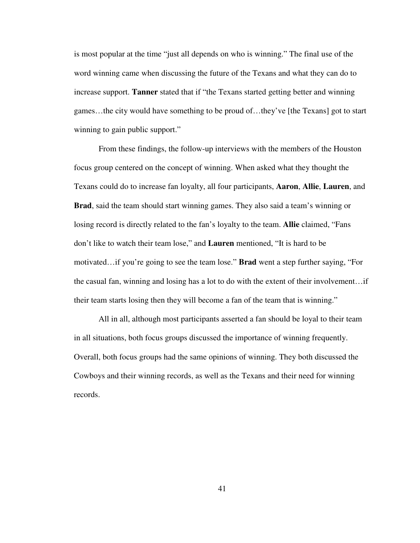is most popular at the time "just all depends on who is winning." The final use of the word winning came when discussing the future of the Texans and what they can do to increase support. **Tanner** stated that if "the Texans started getting better and winning games…the city would have something to be proud of…they've [the Texans] got to start winning to gain public support."

From these findings, the follow-up interviews with the members of the Houston focus group centered on the concept of winning. When asked what they thought the Texans could do to increase fan loyalty, all four participants, **Aaron**, **Allie**, **Lauren**, and **Brad**, said the team should start winning games. They also said a team's winning or losing record is directly related to the fan's loyalty to the team. **Allie** claimed, "Fans don't like to watch their team lose," and **Lauren** mentioned, "It is hard to be motivated…if you're going to see the team lose." **Brad** went a step further saying, "For the casual fan, winning and losing has a lot to do with the extent of their involvement…if their team starts losing then they will become a fan of the team that is winning."

All in all, although most participants asserted a fan should be loyal to their team in all situations, both focus groups discussed the importance of winning frequently. Overall, both focus groups had the same opinions of winning. They both discussed the Cowboys and their winning records, as well as the Texans and their need for winning records.

41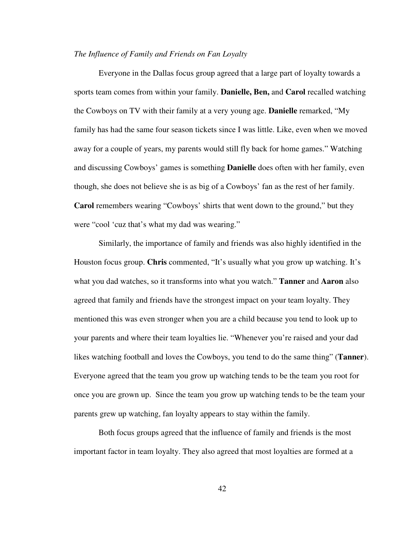#### *The Influence of Family and Friends on Fan Loyalty*

Everyone in the Dallas focus group agreed that a large part of loyalty towards a sports team comes from within your family. **Danielle, Ben,** and **Carol** recalled watching the Cowboys on TV with their family at a very young age. **Danielle** remarked, "My family has had the same four season tickets since I was little. Like, even when we moved away for a couple of years, my parents would still fly back for home games." Watching and discussing Cowboys' games is something **Danielle** does often with her family, even though, she does not believe she is as big of a Cowboys' fan as the rest of her family. **Carol** remembers wearing "Cowboys' shirts that went down to the ground," but they were "cool 'cuz that's what my dad was wearing."

Similarly, the importance of family and friends was also highly identified in the Houston focus group. **Chris** commented, "It's usually what you grow up watching. It's what you dad watches, so it transforms into what you watch." **Tanner** and **Aaron** also agreed that family and friends have the strongest impact on your team loyalty. They mentioned this was even stronger when you are a child because you tend to look up to your parents and where their team loyalties lie. "Whenever you're raised and your dad likes watching football and loves the Cowboys, you tend to do the same thing" (**Tanner**). Everyone agreed that the team you grow up watching tends to be the team you root for once you are grown up. Since the team you grow up watching tends to be the team your parents grew up watching, fan loyalty appears to stay within the family.

Both focus groups agreed that the influence of family and friends is the most important factor in team loyalty. They also agreed that most loyalties are formed at a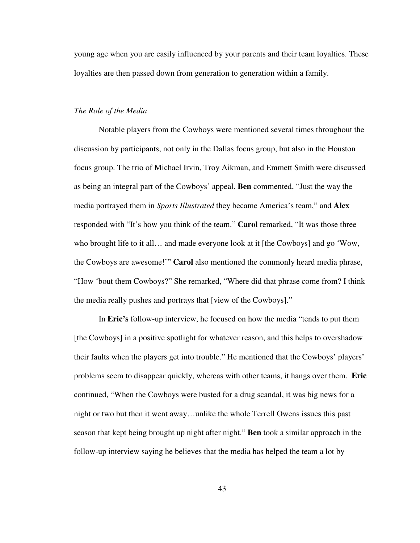young age when you are easily influenced by your parents and their team loyalties. These loyalties are then passed down from generation to generation within a family.

## *The Role of the Media*

Notable players from the Cowboys were mentioned several times throughout the discussion by participants, not only in the Dallas focus group, but also in the Houston focus group. The trio of Michael Irvin, Troy Aikman, and Emmett Smith were discussed as being an integral part of the Cowboys' appeal. **Ben** commented, "Just the way the media portrayed them in *Sports Illustrated* they became America's team," and **Alex** responded with "It's how you think of the team." **Carol** remarked, "It was those three who brought life to it all… and made everyone look at it [the Cowboys] and go 'Wow, the Cowboys are awesome!'" **Carol** also mentioned the commonly heard media phrase, "How 'bout them Cowboys?" She remarked, "Where did that phrase come from? I think the media really pushes and portrays that [view of the Cowboys]."

In **Eric's** follow-up interview, he focused on how the media "tends to put them [the Cowboys] in a positive spotlight for whatever reason, and this helps to overshadow their faults when the players get into trouble." He mentioned that the Cowboys' players' problems seem to disappear quickly, whereas with other teams, it hangs over them. **Eric** continued, "When the Cowboys were busted for a drug scandal, it was big news for a night or two but then it went away…unlike the whole Terrell Owens issues this past season that kept being brought up night after night." **Ben** took a similar approach in the follow-up interview saying he believes that the media has helped the team a lot by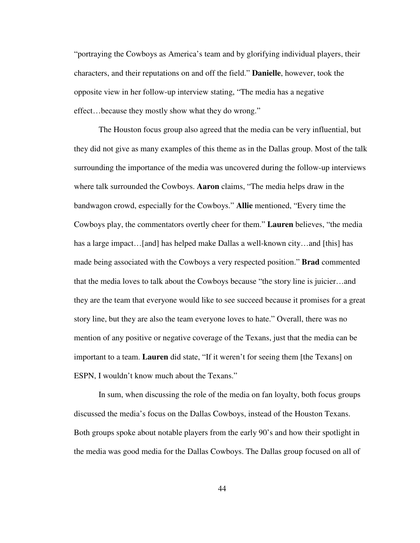"portraying the Cowboys as America's team and by glorifying individual players, their characters, and their reputations on and off the field." **Danielle**, however, took the opposite view in her follow-up interview stating, "The media has a negative effect…because they mostly show what they do wrong."

The Houston focus group also agreed that the media can be very influential, but they did not give as many examples of this theme as in the Dallas group. Most of the talk surrounding the importance of the media was uncovered during the follow-up interviews where talk surrounded the Cowboys. **Aaron** claims, "The media helps draw in the bandwagon crowd, especially for the Cowboys." **Allie** mentioned, "Every time the Cowboys play, the commentators overtly cheer for them." **Lauren** believes, "the media has a large impact…[and] has helped make Dallas a well-known city…and [this] has made being associated with the Cowboys a very respected position." **Brad** commented that the media loves to talk about the Cowboys because "the story line is juicier…and they are the team that everyone would like to see succeed because it promises for a great story line, but they are also the team everyone loves to hate." Overall, there was no mention of any positive or negative coverage of the Texans, just that the media can be important to a team. **Lauren** did state, "If it weren't for seeing them [the Texans] on ESPN, I wouldn't know much about the Texans."

In sum, when discussing the role of the media on fan loyalty, both focus groups discussed the media's focus on the Dallas Cowboys, instead of the Houston Texans. Both groups spoke about notable players from the early 90's and how their spotlight in the media was good media for the Dallas Cowboys. The Dallas group focused on all of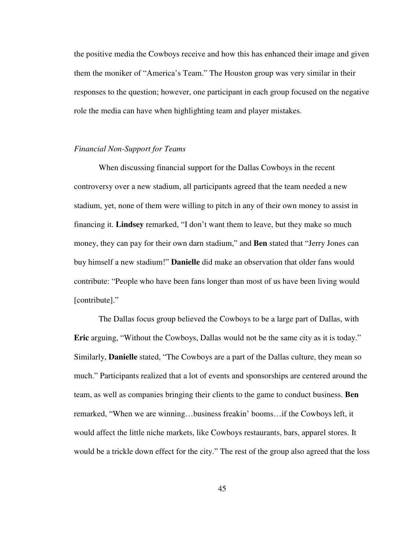the positive media the Cowboys receive and how this has enhanced their image and given them the moniker of "America's Team." The Houston group was very similar in their responses to the question; however, one participant in each group focused on the negative role the media can have when highlighting team and player mistakes.

## *Financial Non-Support for Teams*

When discussing financial support for the Dallas Cowboys in the recent controversy over a new stadium, all participants agreed that the team needed a new stadium, yet, none of them were willing to pitch in any of their own money to assist in financing it. **Lindsey** remarked, "I don't want them to leave, but they make so much money, they can pay for their own darn stadium," and **Ben** stated that "Jerry Jones can buy himself a new stadium!" **Danielle** did make an observation that older fans would contribute: "People who have been fans longer than most of us have been living would [contribute]."

The Dallas focus group believed the Cowboys to be a large part of Dallas, with **Eric** arguing, "Without the Cowboys, Dallas would not be the same city as it is today." Similarly, **Danielle** stated, "The Cowboys are a part of the Dallas culture, they mean so much." Participants realized that a lot of events and sponsorships are centered around the team, as well as companies bringing their clients to the game to conduct business. **Ben** remarked, "When we are winning…business freakin' booms…if the Cowboys left, it would affect the little niche markets, like Cowboys restaurants, bars, apparel stores. It would be a trickle down effect for the city." The rest of the group also agreed that the loss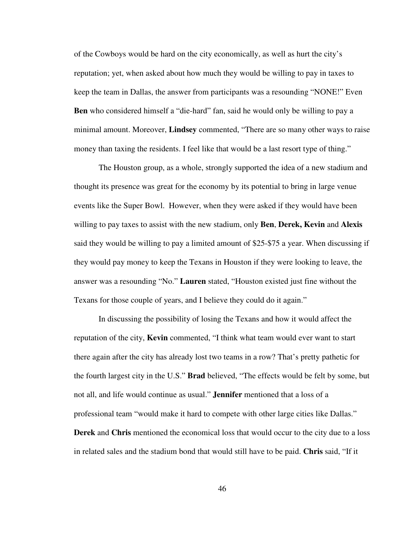of the Cowboys would be hard on the city economically, as well as hurt the city's reputation; yet, when asked about how much they would be willing to pay in taxes to keep the team in Dallas, the answer from participants was a resounding "NONE!" Even **Ben** who considered himself a "die-hard" fan, said he would only be willing to pay a minimal amount. Moreover, **Lindsey** commented, "There are so many other ways to raise money than taxing the residents. I feel like that would be a last resort type of thing."

The Houston group, as a whole, strongly supported the idea of a new stadium and thought its presence was great for the economy by its potential to bring in large venue events like the Super Bowl. However, when they were asked if they would have been willing to pay taxes to assist with the new stadium, only **Ben**, **Derek, Kevin** and **Alexis** said they would be willing to pay a limited amount of \$25-\$75 a year. When discussing if they would pay money to keep the Texans in Houston if they were looking to leave, the answer was a resounding "No." **Lauren** stated, "Houston existed just fine without the Texans for those couple of years, and I believe they could do it again."

In discussing the possibility of losing the Texans and how it would affect the reputation of the city, **Kevin** commented, "I think what team would ever want to start there again after the city has already lost two teams in a row? That's pretty pathetic for the fourth largest city in the U.S." **Brad** believed, "The effects would be felt by some, but not all, and life would continue as usual." **Jennifer** mentioned that a loss of a professional team "would make it hard to compete with other large cities like Dallas." **Derek** and **Chris** mentioned the economical loss that would occur to the city due to a loss in related sales and the stadium bond that would still have to be paid. **Chris** said, "If it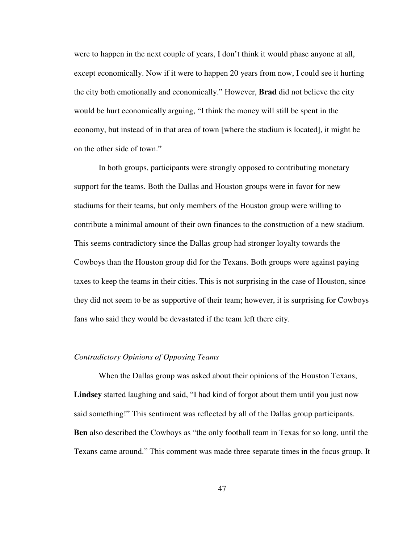were to happen in the next couple of years, I don't think it would phase anyone at all, except economically. Now if it were to happen 20 years from now, I could see it hurting the city both emotionally and economically." However, **Brad** did not believe the city would be hurt economically arguing, "I think the money will still be spent in the economy, but instead of in that area of town [where the stadium is located], it might be on the other side of town."

In both groups, participants were strongly opposed to contributing monetary support for the teams. Both the Dallas and Houston groups were in favor for new stadiums for their teams, but only members of the Houston group were willing to contribute a minimal amount of their own finances to the construction of a new stadium. This seems contradictory since the Dallas group had stronger loyalty towards the Cowboys than the Houston group did for the Texans. Both groups were against paying taxes to keep the teams in their cities. This is not surprising in the case of Houston, since they did not seem to be as supportive of their team; however, it is surprising for Cowboys fans who said they would be devastated if the team left there city.

#### *Contradictory Opinions of Opposing Teams*

When the Dallas group was asked about their opinions of the Houston Texans, **Lindsey** started laughing and said, "I had kind of forgot about them until you just now said something!" This sentiment was reflected by all of the Dallas group participants. **Ben** also described the Cowboys as "the only football team in Texas for so long, until the Texans came around." This comment was made three separate times in the focus group. It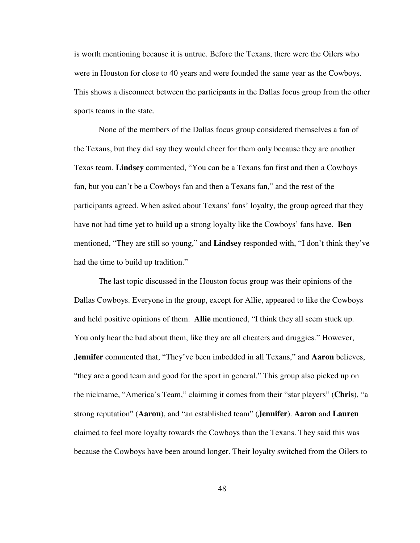is worth mentioning because it is untrue. Before the Texans, there were the Oilers who were in Houston for close to 40 years and were founded the same year as the Cowboys. This shows a disconnect between the participants in the Dallas focus group from the other sports teams in the state.

None of the members of the Dallas focus group considered themselves a fan of the Texans, but they did say they would cheer for them only because they are another Texas team. **Lindsey** commented, "You can be a Texans fan first and then a Cowboys fan, but you can't be a Cowboys fan and then a Texans fan," and the rest of the participants agreed. When asked about Texans' fans' loyalty, the group agreed that they have not had time yet to build up a strong loyalty like the Cowboys' fans have. **Ben** mentioned, "They are still so young," and **Lindsey** responded with, "I don't think they've had the time to build up tradition."

The last topic discussed in the Houston focus group was their opinions of the Dallas Cowboys. Everyone in the group, except for Allie, appeared to like the Cowboys and held positive opinions of them. **Allie** mentioned, "I think they all seem stuck up. You only hear the bad about them, like they are all cheaters and druggies." However, **Jennifer** commented that, "They've been imbedded in all Texans," and **Aaron** believes, "they are a good team and good for the sport in general." This group also picked up on the nickname, "America's Team," claiming it comes from their "star players" (**Chris**), "a strong reputation" (**Aaron**), and "an established team" (**Jennifer**). **Aaron** and **Lauren** claimed to feel more loyalty towards the Cowboys than the Texans. They said this was because the Cowboys have been around longer. Their loyalty switched from the Oilers to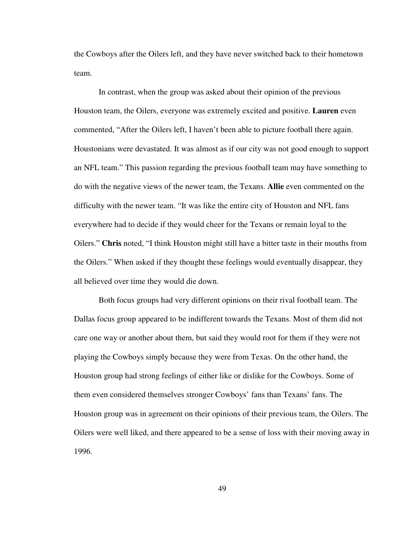the Cowboys after the Oilers left, and they have never switched back to their hometown team.

In contrast, when the group was asked about their opinion of the previous Houston team, the Oilers, everyone was extremely excited and positive. **Lauren** even commented, "After the Oilers left, I haven't been able to picture football there again. Houstonians were devastated. It was almost as if our city was not good enough to support an NFL team." This passion regarding the previous football team may have something to do with the negative views of the newer team, the Texans. **Allie** even commented on the difficulty with the newer team. "It was like the entire city of Houston and NFL fans everywhere had to decide if they would cheer for the Texans or remain loyal to the Oilers." **Chris** noted, "I think Houston might still have a bitter taste in their mouths from the Oilers." When asked if they thought these feelings would eventually disappear, they all believed over time they would die down.

Both focus groups had very different opinions on their rival football team. The Dallas focus group appeared to be indifferent towards the Texans. Most of them did not care one way or another about them, but said they would root for them if they were not playing the Cowboys simply because they were from Texas. On the other hand, the Houston group had strong feelings of either like or dislike for the Cowboys. Some of them even considered themselves stronger Cowboys' fans than Texans' fans. The Houston group was in agreement on their opinions of their previous team, the Oilers. The Oilers were well liked, and there appeared to be a sense of loss with their moving away in 1996.

49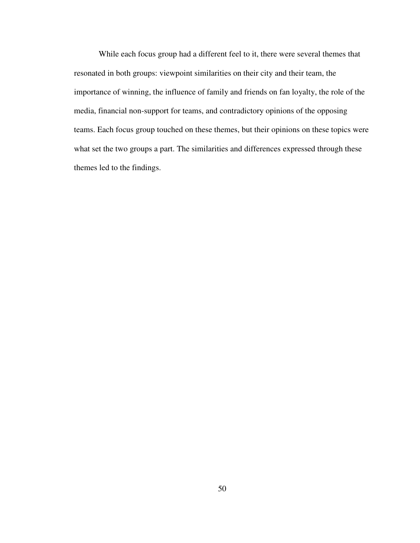While each focus group had a different feel to it, there were several themes that resonated in both groups: viewpoint similarities on their city and their team, the importance of winning, the influence of family and friends on fan loyalty, the role of the media, financial non-support for teams, and contradictory opinions of the opposing teams. Each focus group touched on these themes, but their opinions on these topics were what set the two groups a part. The similarities and differences expressed through these themes led to the findings.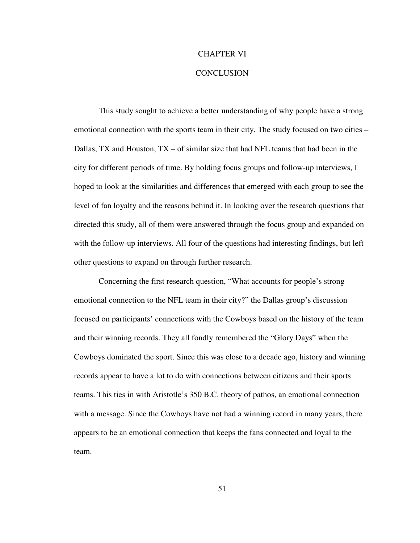#### CHAPTER VI

#### **CONCLUSION**

This study sought to achieve a better understanding of why people have a strong emotional connection with the sports team in their city. The study focused on two cities – Dallas, TX and Houston,  $TX - of$  similar size that had NFL teams that had been in the city for different periods of time. By holding focus groups and follow-up interviews, I hoped to look at the similarities and differences that emerged with each group to see the level of fan loyalty and the reasons behind it. In looking over the research questions that directed this study, all of them were answered through the focus group and expanded on with the follow-up interviews. All four of the questions had interesting findings, but left other questions to expand on through further research.

Concerning the first research question, "What accounts for people's strong emotional connection to the NFL team in their city?" the Dallas group's discussion focused on participants' connections with the Cowboys based on the history of the team and their winning records. They all fondly remembered the "Glory Days" when the Cowboys dominated the sport. Since this was close to a decade ago, history and winning records appear to have a lot to do with connections between citizens and their sports teams. This ties in with Aristotle's 350 B.C. theory of pathos, an emotional connection with a message. Since the Cowboys have not had a winning record in many years, there appears to be an emotional connection that keeps the fans connected and loyal to the team.

51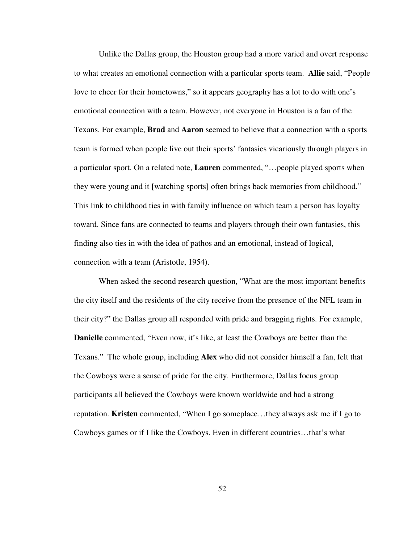Unlike the Dallas group, the Houston group had a more varied and overt response to what creates an emotional connection with a particular sports team. **Allie** said, "People love to cheer for their hometowns," so it appears geography has a lot to do with one's emotional connection with a team. However, not everyone in Houston is a fan of the Texans. For example, **Brad** and **Aaron** seemed to believe that a connection with a sports team is formed when people live out their sports' fantasies vicariously through players in a particular sport. On a related note, **Lauren** commented, "…people played sports when they were young and it [watching sports] often brings back memories from childhood." This link to childhood ties in with family influence on which team a person has loyalty toward. Since fans are connected to teams and players through their own fantasies, this finding also ties in with the idea of pathos and an emotional, instead of logical, connection with a team (Aristotle, 1954).

When asked the second research question, "What are the most important benefits the city itself and the residents of the city receive from the presence of the NFL team in their city?" the Dallas group all responded with pride and bragging rights. For example, **Danielle** commented, "Even now, it's like, at least the Cowboys are better than the Texans." The whole group, including **Alex** who did not consider himself a fan, felt that the Cowboys were a sense of pride for the city. Furthermore, Dallas focus group participants all believed the Cowboys were known worldwide and had a strong reputation. **Kristen** commented, "When I go someplace…they always ask me if I go to Cowboys games or if I like the Cowboys. Even in different countries…that's what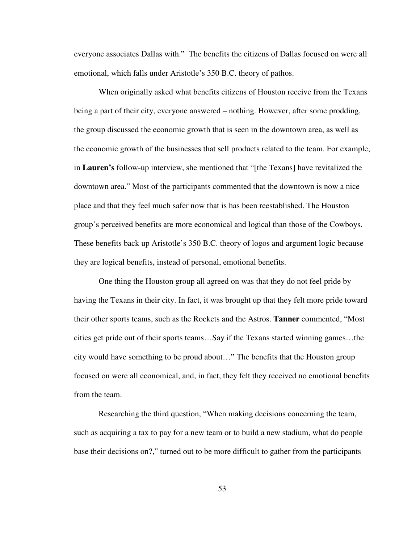everyone associates Dallas with." The benefits the citizens of Dallas focused on were all emotional, which falls under Aristotle's 350 B.C. theory of pathos.

When originally asked what benefits citizens of Houston receive from the Texans being a part of their city, everyone answered – nothing. However, after some prodding, the group discussed the economic growth that is seen in the downtown area, as well as the economic growth of the businesses that sell products related to the team. For example, in **Lauren's** follow-up interview, she mentioned that "[the Texans] have revitalized the downtown area." Most of the participants commented that the downtown is now a nice place and that they feel much safer now that is has been reestablished. The Houston group's perceived benefits are more economical and logical than those of the Cowboys. These benefits back up Aristotle's 350 B.C. theory of logos and argument logic because they are logical benefits, instead of personal, emotional benefits.

One thing the Houston group all agreed on was that they do not feel pride by having the Texans in their city. In fact, it was brought up that they felt more pride toward their other sports teams, such as the Rockets and the Astros. **Tanner** commented, "Most cities get pride out of their sports teams…Say if the Texans started winning games…the city would have something to be proud about…" The benefits that the Houston group focused on were all economical, and, in fact, they felt they received no emotional benefits from the team.

Researching the third question, "When making decisions concerning the team, such as acquiring a tax to pay for a new team or to build a new stadium, what do people base their decisions on?," turned out to be more difficult to gather from the participants

53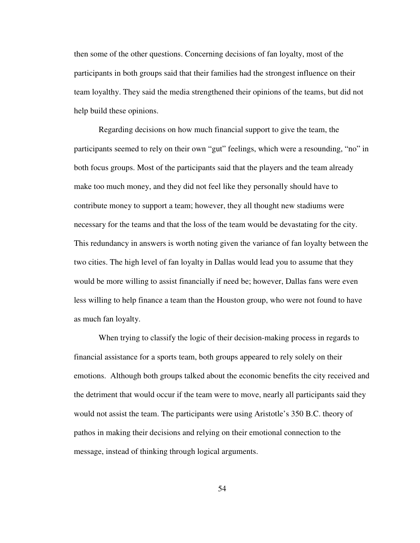then some of the other questions. Concerning decisions of fan loyalty, most of the participants in both groups said that their families had the strongest influence on their team loyalthy. They said the media strengthened their opinions of the teams, but did not help build these opinions.

Regarding decisions on how much financial support to give the team, the participants seemed to rely on their own "gut" feelings, which were a resounding, "no" in both focus groups. Most of the participants said that the players and the team already make too much money, and they did not feel like they personally should have to contribute money to support a team; however, they all thought new stadiums were necessary for the teams and that the loss of the team would be devastating for the city. This redundancy in answers is worth noting given the variance of fan loyalty between the two cities. The high level of fan loyalty in Dallas would lead you to assume that they would be more willing to assist financially if need be; however, Dallas fans were even less willing to help finance a team than the Houston group, who were not found to have as much fan loyalty.

When trying to classify the logic of their decision-making process in regards to financial assistance for a sports team, both groups appeared to rely solely on their emotions. Although both groups talked about the economic benefits the city received and the detriment that would occur if the team were to move, nearly all participants said they would not assist the team. The participants were using Aristotle's 350 B.C. theory of pathos in making their decisions and relying on their emotional connection to the message, instead of thinking through logical arguments.

54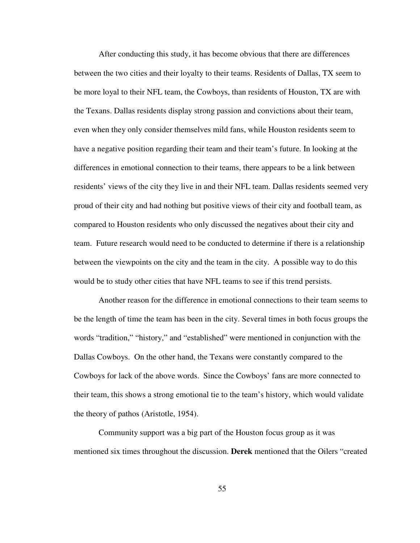After conducting this study, it has become obvious that there are differences between the two cities and their loyalty to their teams. Residents of Dallas, TX seem to be more loyal to their NFL team, the Cowboys, than residents of Houston, TX are with the Texans. Dallas residents display strong passion and convictions about their team, even when they only consider themselves mild fans, while Houston residents seem to have a negative position regarding their team and their team's future. In looking at the differences in emotional connection to their teams, there appears to be a link between residents' views of the city they live in and their NFL team. Dallas residents seemed very proud of their city and had nothing but positive views of their city and football team, as compared to Houston residents who only discussed the negatives about their city and team. Future research would need to be conducted to determine if there is a relationship between the viewpoints on the city and the team in the city. A possible way to do this would be to study other cities that have NFL teams to see if this trend persists.

Another reason for the difference in emotional connections to their team seems to be the length of time the team has been in the city. Several times in both focus groups the words "tradition," "history," and "established" were mentioned in conjunction with the Dallas Cowboys. On the other hand, the Texans were constantly compared to the Cowboys for lack of the above words. Since the Cowboys' fans are more connected to their team, this shows a strong emotional tie to the team's history, which would validate the theory of pathos (Aristotle, 1954).

Community support was a big part of the Houston focus group as it was mentioned six times throughout the discussion. **Derek** mentioned that the Oilers "created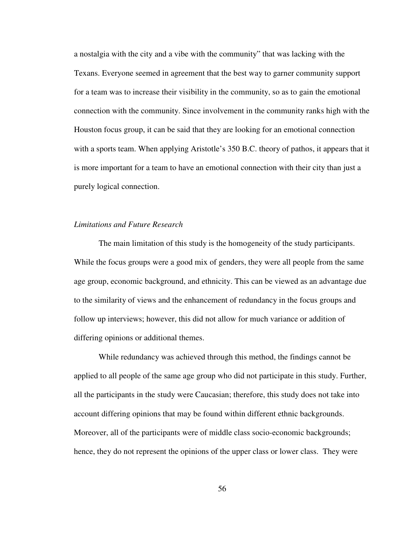a nostalgia with the city and a vibe with the community" that was lacking with the Texans. Everyone seemed in agreement that the best way to garner community support for a team was to increase their visibility in the community, so as to gain the emotional connection with the community. Since involvement in the community ranks high with the Houston focus group, it can be said that they are looking for an emotional connection with a sports team. When applying Aristotle's 350 B.C. theory of pathos, it appears that it is more important for a team to have an emotional connection with their city than just a purely logical connection.

## *Limitations and Future Research*

The main limitation of this study is the homogeneity of the study participants. While the focus groups were a good mix of genders, they were all people from the same age group, economic background, and ethnicity. This can be viewed as an advantage due to the similarity of views and the enhancement of redundancy in the focus groups and follow up interviews; however, this did not allow for much variance or addition of differing opinions or additional themes.

While redundancy was achieved through this method, the findings cannot be applied to all people of the same age group who did not participate in this study. Further, all the participants in the study were Caucasian; therefore, this study does not take into account differing opinions that may be found within different ethnic backgrounds. Moreover, all of the participants were of middle class socio-economic backgrounds; hence, they do not represent the opinions of the upper class or lower class. They were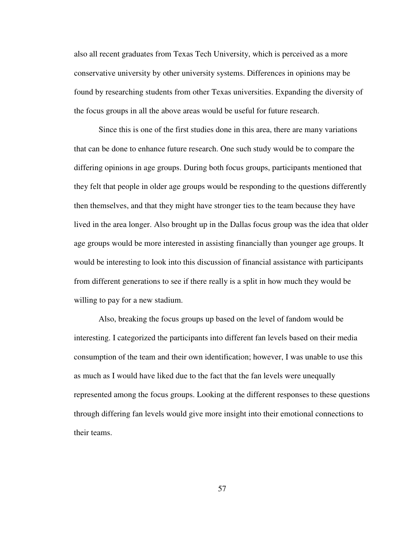also all recent graduates from Texas Tech University, which is perceived as a more conservative university by other university systems. Differences in opinions may be found by researching students from other Texas universities. Expanding the diversity of the focus groups in all the above areas would be useful for future research.

Since this is one of the first studies done in this area, there are many variations that can be done to enhance future research. One such study would be to compare the differing opinions in age groups. During both focus groups, participants mentioned that they felt that people in older age groups would be responding to the questions differently then themselves, and that they might have stronger ties to the team because they have lived in the area longer. Also brought up in the Dallas focus group was the idea that older age groups would be more interested in assisting financially than younger age groups. It would be interesting to look into this discussion of financial assistance with participants from different generations to see if there really is a split in how much they would be willing to pay for a new stadium.

Also, breaking the focus groups up based on the level of fandom would be interesting. I categorized the participants into different fan levels based on their media consumption of the team and their own identification; however, I was unable to use this as much as I would have liked due to the fact that the fan levels were unequally represented among the focus groups. Looking at the different responses to these questions through differing fan levels would give more insight into their emotional connections to their teams.

57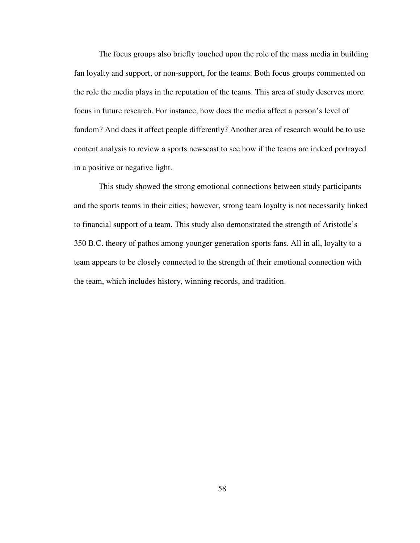The focus groups also briefly touched upon the role of the mass media in building fan loyalty and support, or non-support, for the teams. Both focus groups commented on the role the media plays in the reputation of the teams. This area of study deserves more focus in future research. For instance, how does the media affect a person's level of fandom? And does it affect people differently? Another area of research would be to use content analysis to review a sports newscast to see how if the teams are indeed portrayed in a positive or negative light.

This study showed the strong emotional connections between study participants and the sports teams in their cities; however, strong team loyalty is not necessarily linked to financial support of a team. This study also demonstrated the strength of Aristotle's 350 B.C. theory of pathos among younger generation sports fans. All in all, loyalty to a team appears to be closely connected to the strength of their emotional connection with the team, which includes history, winning records, and tradition.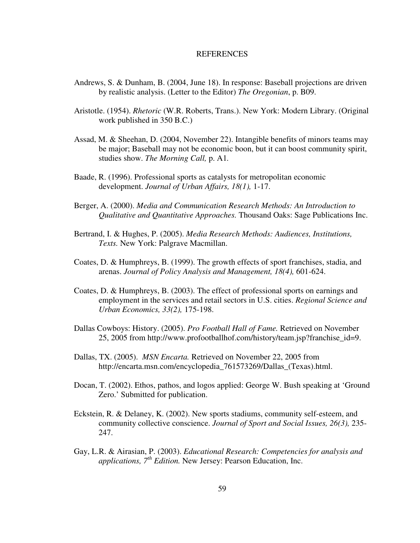#### **REFERENCES**

- Andrews, S. & Dunham, B. (2004, June 18). In response: Baseball projections are driven by realistic analysis. (Letter to the Editor) *The Oregonian*, p. B09.
- Aristotle. (1954). *Rhetoric* (W.R. Roberts, Trans.). New York: Modern Library. (Original work published in 350 B.C.)
- Assad, M. & Sheehan, D. (2004, November 22). Intangible benefits of minors teams may be major; Baseball may not be economic boon, but it can boost community spirit, studies show. *The Morning Call,* p. A1*.*
- Baade, R. (1996). Professional sports as catalysts for metropolitan economic development. *Journal of Urban Affairs, 18(1),* 1-17.
- Berger, A. (2000). *Media and Communication Research Methods: An Introduction to Qualitative and Quantitative Approaches.* Thousand Oaks: Sage Publications Inc.
- Bertrand, I. & Hughes, P. (2005). *Media Research Methods: Audiences, Institutions, Texts.* New York: Palgrave Macmillan.
- Coates, D. & Humphreys, B. (1999). The growth effects of sport franchises, stadia, and arenas. *Journal of Policy Analysis and Management, 18(4),* 601-624.
- Coates, D. & Humphreys, B. (2003). The effect of professional sports on earnings and employment in the services and retail sectors in U.S. cities. *Regional Science and Urban Economics, 33(2),* 175-198.
- Dallas Cowboys: History. (2005). *Pro Football Hall of Fame.* Retrieved on November 25, 2005 from http://www.profootballhof.com/history/team.jsp?franchise\_id=9.
- Dallas, TX. (2005). *MSN Encarta.* Retrieved on November 22, 2005 from http://encarta.msn.com/encyclopedia\_761573269/Dallas\_(Texas).html.
- Docan, T. (2002). Ethos, pathos, and logos applied: George W. Bush speaking at 'Ground Zero.' Submitted for publication.
- Eckstein, R. & Delaney, K. (2002). New sports stadiums, community self-esteem, and community collective conscience. *Journal of Sport and Social Issues, 26(3),* 235- 247.
- Gay, L.R. & Airasian, P. (2003). *Educational Research: Competencies for analysis and applications, 7 th Edition.* New Jersey: Pearson Education, Inc.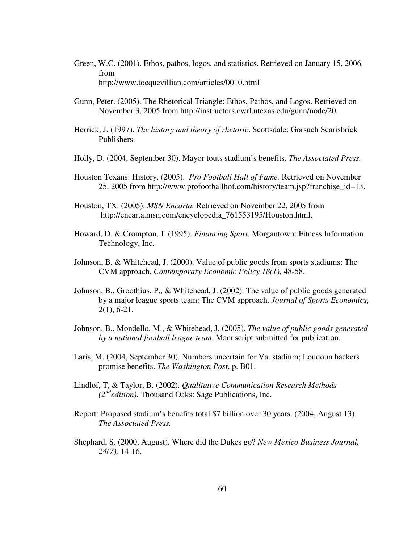- Green, W.C. (2001). Ethos, pathos, logos, and statistics. Retrieved on January 15, 2006 from http://www.tocquevillian.com/articles/0010.html
- Gunn, Peter. (2005). The Rhetorical Triangle: Ethos, Pathos, and Logos. Retrieved on November 3, 2005 from http://instructors.cwrl.utexas.edu/gunn/node/20.
- Herrick, J. (1997). *The history and theory of rhetoric*. Scottsdale: Gorsuch Scarisbrick Publishers.
- Holly, D. (2004, September 30). Mayor touts stadium's benefits. *The Associated Press.*
- Houston Texans: History. (2005). *Pro Football Hall of Fame.* Retrieved on November 25, 2005 from http://www.profootballhof.com/history/team.jsp?franchise\_id=13.
- Houston, TX. (2005). *MSN Encarta.* Retrieved on November 22, 2005 from http://encarta.msn.com/encyclopedia\_761553195/Houston.html.
- Howard, D. & Crompton, J. (1995). *Financing Sport.* Morgantown: Fitness Information Technology, Inc.
- Johnson, B. & Whitehead, J. (2000). Value of public goods from sports stadiums: The CVM approach. *Contemporary Economic Policy 18(1),* 48-58.
- Johnson, B., Groothius, P., & Whitehead, J. (2002). The value of public goods generated by a major league sports team: The CVM approach. *Journal of Sports Economics*, 2(1), 6-21.
- Johnson, B., Mondello, M., & Whitehead, J. (2005). *The value of public goods generated by a national football league team.* Manuscript submitted for publication.
- Laris, M. (2004, September 30). Numbers uncertain for Va. stadium; Loudoun backers promise benefits. *The Washington Post*, p. B01.
- Lindlof, T, & Taylor, B. (2002). *Qualitative Communication Research Methods (2 nd edition).* Thousand Oaks: Sage Publications, Inc.
- Report: Proposed stadium's benefits total \$7 billion over 30 years. (2004, August 13). *The Associated Press.*
- Shephard, S. (2000, August). Where did the Dukes go? *New Mexico Business Journal, 24(7),* 14-16.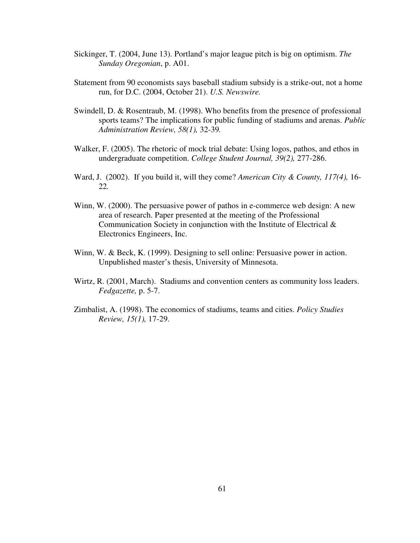- Sickinger, T. (2004, June 13). Portland's major league pitch is big on optimism. *The Sunday Oregonian*, p. A01.
- Statement from 90 economists says baseball stadium subsidy is a strike-out, not a home run, for D.C. (2004, October 21). *U.S. Newswire.*
- Swindell, D. & Rosentraub, M. (1998). Who benefits from the presence of professional sports teams? The implications for public funding of stadiums and arenas. *Public Administration Review, 58(1),* 32-39*.*
- Walker, F. (2005). The rhetoric of mock trial debate: Using logos, pathos, and ethos in undergraduate competition. *College Student Journal, 39(2),* 277-286.
- Ward, J. (2002). If you build it, will they come? *American City & County, 117(4),* 16- 22*.*
- Winn, W. (2000). The persuasive power of pathos in e-commerce web design: A new area of research. Paper presented at the meeting of the Professional Communication Society in conjunction with the Institute of Electrical & Electronics Engineers, Inc.
- Winn, W. & Beck, K. (1999). Designing to sell online: Persuasive power in action. Unpublished master's thesis, University of Minnesota.
- Wirtz, R. (2001, March). Stadiums and convention centers as community loss leaders. *Fedgazette,* p. 5-7.
- Zimbalist, A. (1998). The economics of stadiums, teams and cities. *Policy Studies Review, 15(1),* 17-29.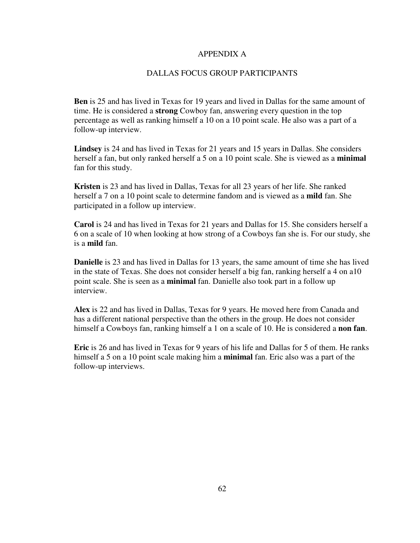## APPENDIX A

## DALLAS FOCUS GROUP PARTICIPANTS

**Ben** is 25 and has lived in Texas for 19 years and lived in Dallas for the same amount of time. He is considered a **strong** Cowboy fan, answering every question in the top percentage as well as ranking himself a 10 on a 10 point scale. He also was a part of a follow-up interview.

**Lindsey** is 24 and has lived in Texas for 21 years and 15 years in Dallas. She considers herself a fan, but only ranked herself a 5 on a 10 point scale. She is viewed as a **minimal** fan for this study.

**Kristen** is 23 and has lived in Dallas, Texas for all 23 years of her life. She ranked herself a 7 on a 10 point scale to determine fandom and is viewed as a **mild** fan. She participated in a follow up interview.

**Carol** is 24 and has lived in Texas for 21 years and Dallas for 15. She considers herself a 6 on a scale of 10 when looking at how strong of a Cowboys fan she is. For our study, she is a **mild** fan.

**Danielle** is 23 and has lived in Dallas for 13 years, the same amount of time she has lived in the state of Texas. She does not consider herself a big fan, ranking herself a 4 on a10 point scale. She is seen as a **minimal** fan. Danielle also took part in a follow up interview.

**Alex** is 22 and has lived in Dallas, Texas for 9 years. He moved here from Canada and has a different national perspective than the others in the group. He does not consider himself a Cowboys fan, ranking himself a 1 on a scale of 10. He is considered a **non fan**.

**Eric** is 26 and has lived in Texas for 9 years of his life and Dallas for 5 of them. He ranks himself a 5 on a 10 point scale making him a **minimal** fan. Eric also was a part of the follow-up interviews.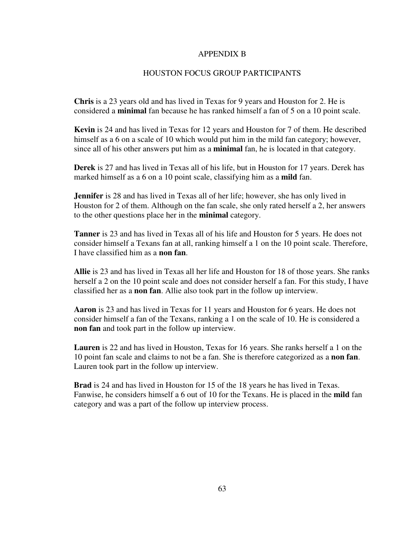#### APPENDIX B

## HOUSTON FOCUS GROUP PARTICIPANTS

**Chris** is a 23 years old and has lived in Texas for 9 years and Houston for 2. He is considered a **minimal** fan because he has ranked himself a fan of 5 on a 10 point scale.

**Kevin** is 24 and has lived in Texas for 12 years and Houston for 7 of them. He described himself as a 6 on a scale of 10 which would put him in the mild fan category; however, since all of his other answers put him as a **minimal** fan, he is located in that category.

**Derek** is 27 and has lived in Texas all of his life, but in Houston for 17 years. Derek has marked himself as a 6 on a 10 point scale, classifying him as a **mild** fan.

**Jennifer** is 28 and has lived in Texas all of her life; however, she has only lived in Houston for 2 of them. Although on the fan scale, she only rated herself a 2, her answers to the other questions place her in the **minimal** category.

**Tanner** is 23 and has lived in Texas all of his life and Houston for 5 years. He does not consider himself a Texans fan at all, ranking himself a 1 on the 10 point scale. Therefore, I have classified him as a **non fan**.

**Allie** is 23 and has lived in Texas all her life and Houston for 18 of those years. She ranks herself a 2 on the 10 point scale and does not consider herself a fan. For this study, I have classified her as a **non fan**. Allie also took part in the follow up interview.

**Aaron** is 23 and has lived in Texas for 11 years and Houston for 6 years. He does not consider himself a fan of the Texans, ranking a 1 on the scale of 10. He is considered a **non fan** and took part in the follow up interview.

**Lauren** is 22 and has lived in Houston, Texas for 16 years. She ranks herself a 1 on the 10 point fan scale and claims to not be a fan. She is therefore categorized as a **non fan**. Lauren took part in the follow up interview.

**Brad** is 24 and has lived in Houston for 15 of the 18 years he has lived in Texas. Fanwise, he considers himself a 6 out of 10 for the Texans. He is placed in the **mild** fan category and was a part of the follow up interview process.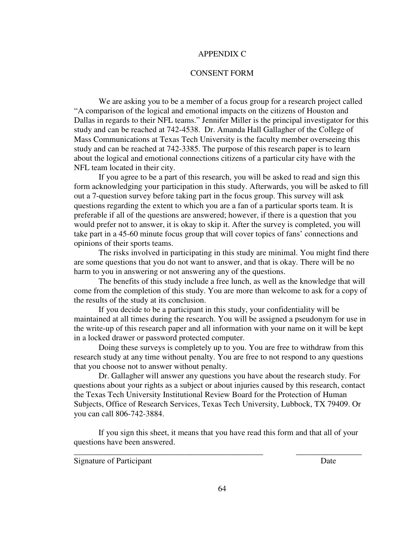#### APPENDIX C

## CONSENT FORM

We are asking you to be a member of a focus group for a research project called "A comparison of the logical and emotional impacts on the citizens of Houston and Dallas in regards to their NFL teams." Jennifer Miller is the principal investigator for this study and can be reached at 742-4538. Dr. Amanda Hall Gallagher of the College of Mass Communications at Texas Tech University is the faculty member overseeing this study and can be reached at 742-3385. The purpose of this research paper is to learn about the logical and emotional connections citizens of a particular city have with the NFL team located in their city.

If you agree to be a part of this research, you will be asked to read and sign this form acknowledging your participation in this study. Afterwards, you will be asked to fill out a 7-question survey before taking part in the focus group. This survey will ask questions regarding the extent to which you are a fan of a particular sports team. It is preferable if all of the questions are answered; however, if there is a question that you would prefer not to answer, it is okay to skip it. After the survey is completed, you will take part in a 45-60 minute focus group that will cover topics of fans' connections and opinions of their sports teams.

The risks involved in participating in this study are minimal. You might find there are some questions that you do not want to answer, and that is okay. There will be no harm to you in answering or not answering any of the questions.

The benefits of this study include a free lunch, as well as the knowledge that will come from the completion of this study. You are more than welcome to ask for a copy of the results of the study at its conclusion.

If you decide to be a participant in this study, your confidentiality will be maintained at all times during the research. You will be assigned a pseudonym for use in the write-up of this research paper and all information with your name on it will be kept in a locked drawer or password protected computer.

Doing these surveys is completely up to you. You are free to withdraw from this research study at any time without penalty. You are free to not respond to any questions that you choose not to answer without penalty.

Dr. Gallagher will answer any questions you have about the research study. For questions about your rights as a subject or about injuries caused by this research, contact the Texas Tech University Institutional Review Board for the Protection of Human Subjects, Office of Research Services, Texas Tech University, Lubbock, TX 79409. Or you can call 806-742-3884.

If you sign this sheet, it means that you have read this form and that all of your questions have been answered.

\_\_\_\_\_\_\_\_\_\_\_\_\_\_\_\_\_\_\_\_\_\_\_\_\_\_\_\_\_\_\_\_\_\_\_\_\_\_\_\_\_\_\_\_\_\_ \_\_\_\_\_\_\_\_\_\_\_\_\_\_\_\_

Signature of Participant Date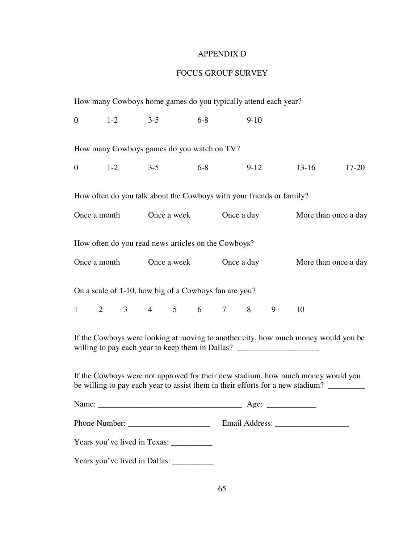## APPENDIX D

# FOCUS GROUP SURVEY

|       |                                  |                                                       |  |  |  |                                     |                  | How many Cowboys home games do you typically attend each year?       |                                                                                                                                                                        |                      |  |  |
|-------|----------------------------------|-------------------------------------------------------|--|--|--|-------------------------------------|------------------|----------------------------------------------------------------------|------------------------------------------------------------------------------------------------------------------------------------------------------------------------|----------------------|--|--|
|       | $0 \t 1-2 \t 3-5 \t 6-8 \t 9-10$ |                                                       |  |  |  |                                     |                  |                                                                      |                                                                                                                                                                        |                      |  |  |
|       |                                  | How many Cowboys games do you watch on TV?            |  |  |  |                                     |                  |                                                                      |                                                                                                                                                                        |                      |  |  |
|       | 0 $1-2$ $3-5$ $6-8$              |                                                       |  |  |  |                                     | 9-12 13-16 17-20 |                                                                      |                                                                                                                                                                        |                      |  |  |
|       |                                  |                                                       |  |  |  |                                     |                  | How often do you talk about the Cowboys with your friends or family? |                                                                                                                                                                        |                      |  |  |
|       |                                  |                                                       |  |  |  | Once a month Once a week Once a day |                  |                                                                      |                                                                                                                                                                        | More than once a day |  |  |
|       |                                  | How often do you read news articles on the Cowboys?   |  |  |  |                                     |                  |                                                                      |                                                                                                                                                                        |                      |  |  |
|       |                                  |                                                       |  |  |  | Once a month Once a week Once a day |                  |                                                                      | More than once a day                                                                                                                                                   |                      |  |  |
|       |                                  | On a scale of 1-10, how big of a Cowboys fan are you? |  |  |  |                                     |                  |                                                                      |                                                                                                                                                                        |                      |  |  |
|       |                                  | $1 \t2 \t3 \t4 \t5 \t6 \t7 \t8 \t9$                   |  |  |  |                                     |                  |                                                                      | 10                                                                                                                                                                     |                      |  |  |
|       |                                  |                                                       |  |  |  |                                     |                  |                                                                      | If the Cowboys were looking at moving to another city, how much money would you be<br>willing to pay each year to keep them in Dallas? _______________________________ |                      |  |  |
|       |                                  |                                                       |  |  |  |                                     |                  |                                                                      | If the Cowboys were not approved for their new stadium, how much money would you<br>be willing to pay each year to assist them in their efforts for a new stadium?     |                      |  |  |
| Name: |                                  |                                                       |  |  |  |                                     |                  |                                                                      |                                                                                                                                                                        |                      |  |  |
|       |                                  |                                                       |  |  |  |                                     |                  |                                                                      |                                                                                                                                                                        |                      |  |  |
|       |                                  |                                                       |  |  |  |                                     |                  |                                                                      |                                                                                                                                                                        |                      |  |  |
|       |                                  | Years you've lived in Dallas: ___________             |  |  |  |                                     |                  |                                                                      |                                                                                                                                                                        |                      |  |  |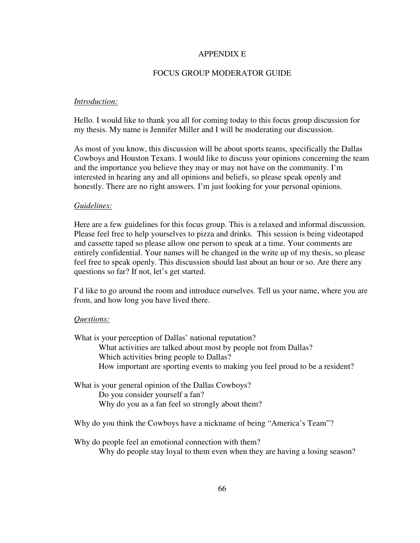## APPENDIX E

## FOCUS GROUP MODERATOR GUIDE

#### *Introduction:*

Hello. I would like to thank you all for coming today to this focus group discussion for my thesis. My name is Jennifer Miller and I will be moderating our discussion.

As most of you know, this discussion will be about sports teams, specifically the Dallas Cowboys and Houston Texans. I would like to discuss your opinions concerning the team and the importance you believe they may or may not have on the community. I'm interested in hearing any and all opinions and beliefs, so please speak openly and honestly. There are no right answers. I'm just looking for your personal opinions.

#### *Guidelines:*

Here are a few guidelines for this focus group. This is a relaxed and informal discussion. Please feel free to help yourselves to pizza and drinks. This session is being videotaped and cassette taped so please allow one person to speak at a time. Your comments are entirely confidential. Your names will be changed in the write up of my thesis, so please feel free to speak openly. This discussion should last about an hour or so. Are there any questions so far? If not, let's get started.

I'd like to go around the room and introduce ourselves. Tell us your name, where you are from, and how long you have lived there.

#### *Questions:*

What is your perception of Dallas' national reputation? What activities are talked about most by people not from Dallas? Which activities bring people to Dallas? How important are sporting events to making you feel proud to be a resident?

What is your general opinion of the Dallas Cowboys? Do you consider yourself a fan? Why do you as a fan feel so strongly about them?

Why do you think the Cowboys have a nickname of being "America's Team"?

Why do people feel an emotional connection with them?

Why do people stay loyal to them even when they are having a losing season?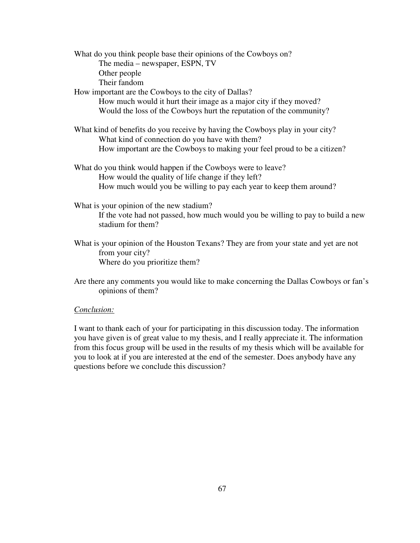What do you think people base their opinions of the Cowboys on? The media – newspaper, ESPN, TV Other people Their fandom How important are the Cowboys to the city of Dallas? How much would it hurt their image as a major city if they moved? Would the loss of the Cowboys hurt the reputation of the community? What kind of benefits do you receive by having the Cowboys play in your city? What kind of connection do you have with them? How important are the Cowboys to making your feel proud to be a citizen? What do you think would happen if the Cowboys were to leave? How would the quality of life change if they left? How much would you be willing to pay each year to keep them around? What is your opinion of the new stadium?

If the vote had not passed, how much would you be willing to pay to build a new stadium for them?

What is your opinion of the Houston Texans? They are from your state and yet are not from your city? Where do you prioritize them?

Are there any comments you would like to make concerning the Dallas Cowboys or fan's opinions of them?

#### *Conclusion:*

I want to thank each of your for participating in this discussion today. The information you have given is of great value to my thesis, and I really appreciate it. The information from this focus group will be used in the results of my thesis which will be available for you to look at if you are interested at the end of the semester. Does anybody have any questions before we conclude this discussion?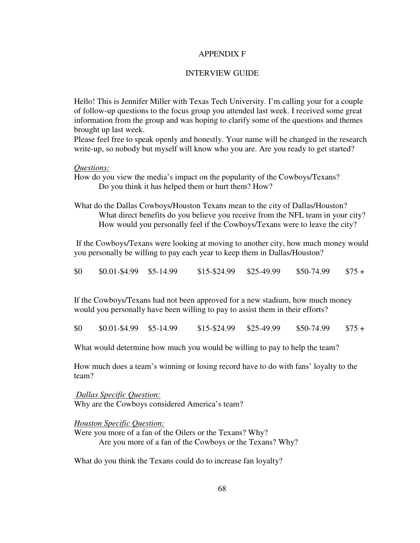#### APPENDIX F

## INTERVIEW GUIDE

Hello! This is Jennifer Miller with Texas Tech University. I'm calling your for a couple of follow-up questions to the focus group you attended last week. I received some great information from the group and was hoping to clarify some of the questions and themes brought up last week.

Please feel free to speak openly and honestly. Your name will be changed in the research write-up, so nobody but myself will know who you are. Are you ready to get started?

## *Questions:*

How do you view the media's impact on the popularity of the Cowboys/Texans? Do you think it has helped them or hurt them? How?

What do the Dallas Cowboys/Houston Texans mean to the city of Dallas/Houston? What direct benefits do you believe you receive from the NFL team in your city? How would you personally feel if the Cowboys/Texans were to leave the city?

If the Cowboys/Texans were looking at moving to another city, how much money would you personally be willing to pay each year to keep them in Dallas/Houston?

 $$0$   $$0.01-$4.99$   $$5-14.99$   $$15-$24.99$   $$25-49.99$   $$50-74.99$   $$75+$ 

If the Cowboys/Texans had not been approved for a new stadium, how much money would you personally have been willing to pay to assist them in their efforts?

| \$0 | $$0.01-S4.99$ $$5-14.99$ | $$15 - $24.99$ | \$25-49.99 | \$50-74.99 | $\$75+$ |
|-----|--------------------------|----------------|------------|------------|---------|
|     |                          |                |            |            |         |

What would determine how much you would be willing to pay to help the team?

How much does a team's winning or losing record have to do with fans' loyalty to the team?

*Dallas Specific Question:* Why are the Cowboys considered America's team?

*Houston Specific Question:* Were you more of a fan of the Oilers or the Texans? Why? Are you more of a fan of the Cowboys or the Texans? Why?

What do you think the Texans could do to increase fan loyalty?